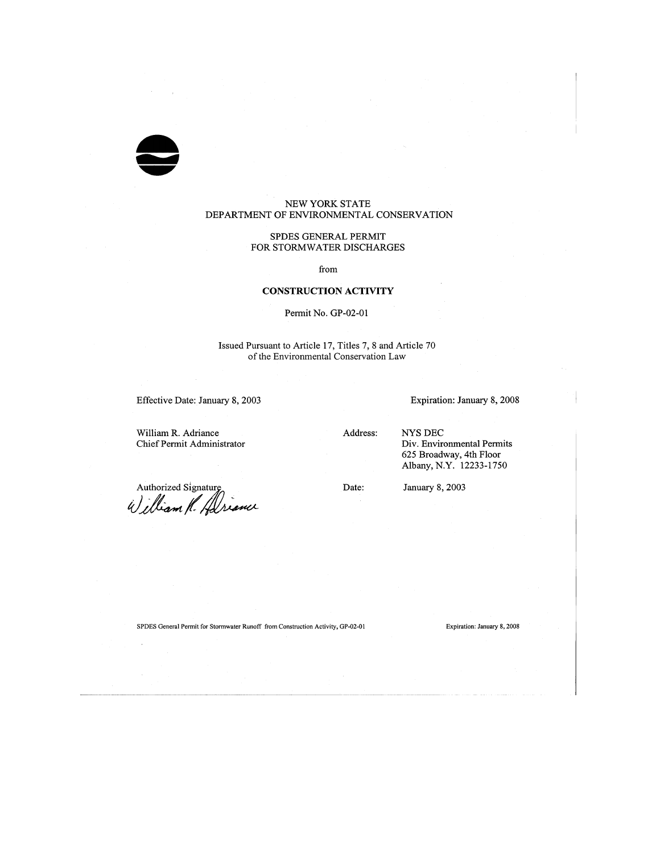

#### NEW YORK STATE DEPARTMENT OF ENVIRONMENTAL CONSERVATION

#### SPDES GENERAL PERMIT FOR STORMWATER DISCHARGES

from

#### **CONSTRUCTION ACTIVITY**

Permit No. GP-02-01

Issued Pursuant to Article 17, Titles 7, 8 and Article 70 of the Environmental Conservation Law

Effective Date: January 8, 2003

#### Expiration: January 8, 2008

William R. Adriance Chief Permit Administrator Address:

NYS DEC Div. Environmental Permits 625 Broadway, 4th Floor Albany, N.Y. 12233-1750

Authorized Signature

Date:

January 8, 2003

SPDES General Permit for Stormwater Runoff from Construction Activity, GP-02-01

Expiration: January 8, 2008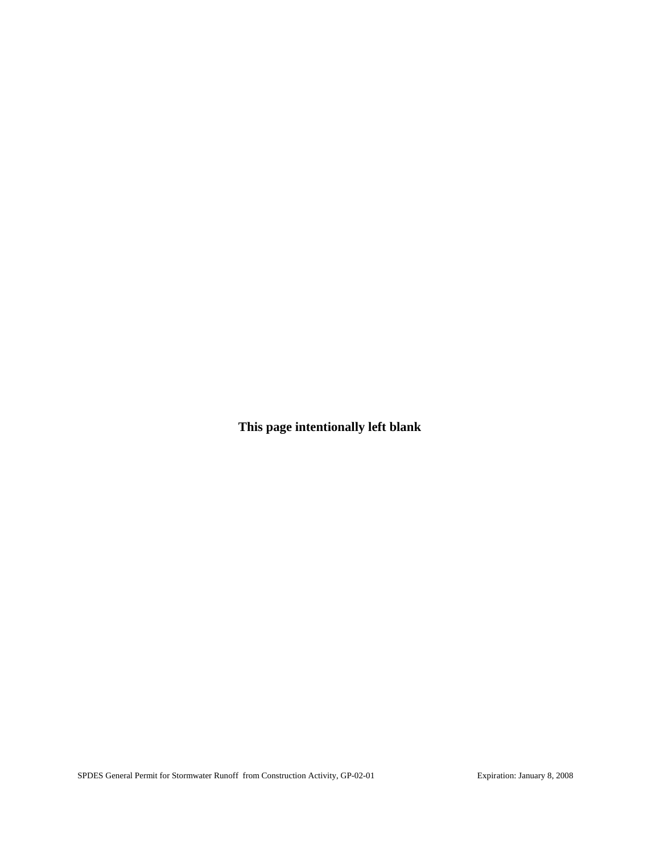**This page intentionally left blank**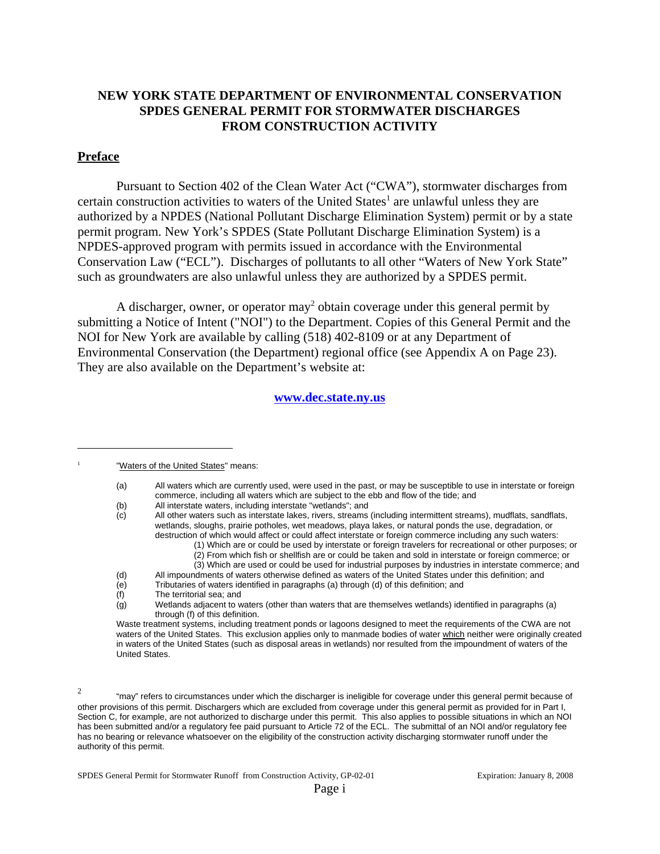# **NEW YORK STATE DEPARTMENT OF ENVIRONMENTAL CONSERVATION SPDES GENERAL PERMIT FOR STORMWATER DISCHARGES FROM CONSTRUCTION ACTIVITY**

### **Preface**

Pursuant to Section 402 of the Clean Water Act ("CWA"), stormwater discharges from certain construction activities to waters of the United States<sup>1</sup> are unlawful unless they are authorized by a NPDES (National Pollutant Discharge Elimination System) permit or by a state permit program. New York's SPDES (State Pollutant Discharge Elimination System) is a NPDES-approved program with permits issued in accordance with the Environmental Conservation Law ("ECL"). Discharges of pollutants to all other "Waters of New York State" such as groundwaters are also unlawful unless they are authorized by a SPDES permit.

A discharger, owner, or operator may<sup>2</sup> obtain coverage under this general permit by submitting a Notice of Intent ("NOI") to the Department. Copies of this General Permit and the NOI for New York are available by calling (518) 402-8109 or at any Department of Environmental Conservation (the Department) regional office (see Appendix A on Page 23). They are also available on the Department's website at:

### **[www.dec.state.ny.us](http://www.dec.state.ny.us)**

"Waters of the United States" means:

(a) All waters which are currently used, were used in the past, or may be susceptible to use in interstate or foreign commerce, including all waters which are subject to the ebb and flow of the tide; and

(b) All interstate waters, including interstate "wetlands"; and (c) All other waters such as interstate lakes, rivers, streams

All other waters such as interstate lakes, rivers, streams (including intermittent streams), mudflats, sandflats, wetlands, sloughs, prairie potholes, wet meadows, playa lakes, or natural ponds the use, degradation, or destruction of which would affect or could affect interstate or foreign commerce including any such waters:

- (1) Which are or could be used by interstate or foreign travelers for recreational or other purposes; or
- (2) From which fish or shellfish are or could be taken and sold in interstate or foreign commerce; or
- (3) Which are used or could be used for industrial purposes by industries in interstate commerce; and
- (d) All impoundments of waters otherwise defined as waters of the United States under this definition; and
- (e) Tributaries of waters identified in paragraphs (a) through (d) of this definition; and
- (f) The territorial sea; and

Waste treatment systems, including treatment ponds or lagoons designed to meet the requirements of the CWA are not waters of the United States. This exclusion applies only to manmade bodies of water which neither were originally created in waters of the United States (such as disposal areas in wetlands) nor resulted from the impoundment of waters of the United States.

 $2$  "may" refers to circumstances under which the discharger is ineligible for coverage under this general permit because of other provisions of this permit. Dischargers which are excluded from coverage under this general permit as provided for in Part I, Section C, for example, are not authorized to discharge under this permit. This also applies to possible situations in which an NOI has been submitted and/or a regulatory fee paid pursuant to Article 72 of the ECL. The submittal of an NOI and/or regulatory fee has no bearing or relevance whatsoever on the eligibility of the construction activity discharging stormwater runoff under the authority of this permit.

 $\dot{g}$  Wetlands adjacent to waters (other than waters that are themselves wetlands) identified in paragraphs (a) through (f) of this definition.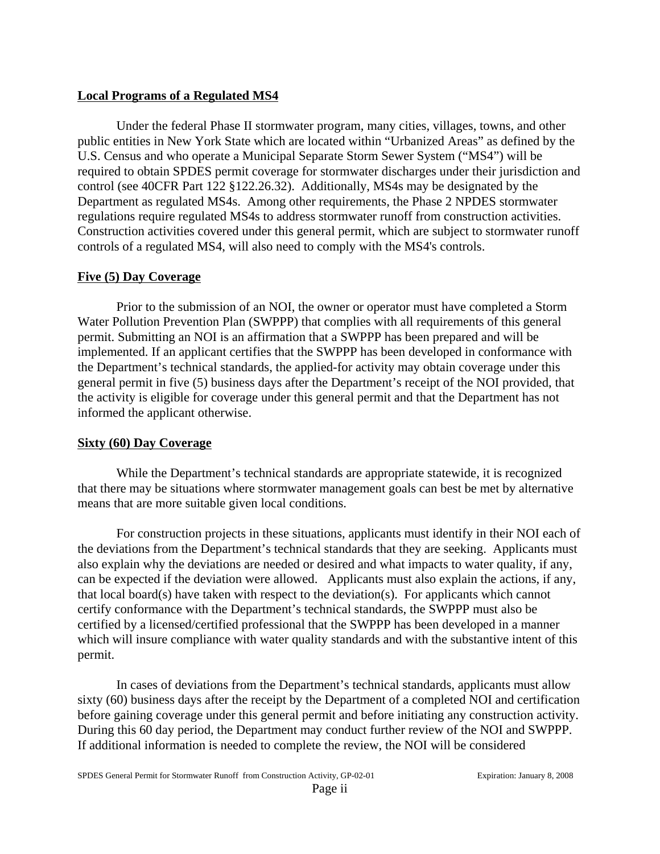# **Local Programs of a Regulated MS4**

Under the federal Phase II stormwater program, many cities, villages, towns, and other public entities in New York State which are located within "Urbanized Areas" as defined by the U.S. Census and who operate a Municipal Separate Storm Sewer System ("MS4") will be required to obtain SPDES permit coverage for stormwater discharges under their jurisdiction and control (see 40CFR Part 122 §122.26.32). Additionally, MS4s may be designated by the Department as regulated MS4s. Among other requirements, the Phase 2 NPDES stormwater regulations require regulated MS4s to address stormwater runoff from construction activities. Construction activities covered under this general permit, which are subject to stormwater runoff controls of a regulated MS4, will also need to comply with the MS4's controls.

# **Five (5) Day Coverage**

Prior to the submission of an NOI, the owner or operator must have completed a Storm Water Pollution Prevention Plan (SWPPP) that complies with all requirements of this general permit. Submitting an NOI is an affirmation that a SWPPP has been prepared and will be implemented. If an applicant certifies that the SWPPP has been developed in conformance with the Department's technical standards, the applied-for activity may obtain coverage under this general permit in five (5) business days after the Department's receipt of the NOI provided, that the activity is eligible for coverage under this general permit and that the Department has not informed the applicant otherwise.

# **Sixty (60) Day Coverage**

While the Department's technical standards are appropriate statewide, it is recognized that there may be situations where stormwater management goals can best be met by alternative means that are more suitable given local conditions.

For construction projects in these situations, applicants must identify in their NOI each of the deviations from the Department's technical standards that they are seeking. Applicants must also explain why the deviations are needed or desired and what impacts to water quality, if any, can be expected if the deviation were allowed. Applicants must also explain the actions, if any, that local board(s) have taken with respect to the deviation(s). For applicants which cannot certify conformance with the Department's technical standards, the SWPPP must also be certified by a licensed/certified professional that the SWPPP has been developed in a manner which will insure compliance with water quality standards and with the substantive intent of this permit.

In cases of deviations from the Department's technical standards, applicants must allow sixty (60) business days after the receipt by the Department of a completed NOI and certification before gaining coverage under this general permit and before initiating any construction activity. During this 60 day period, the Department may conduct further review of the NOI and SWPPP. If additional information is needed to complete the review, the NOI will be considered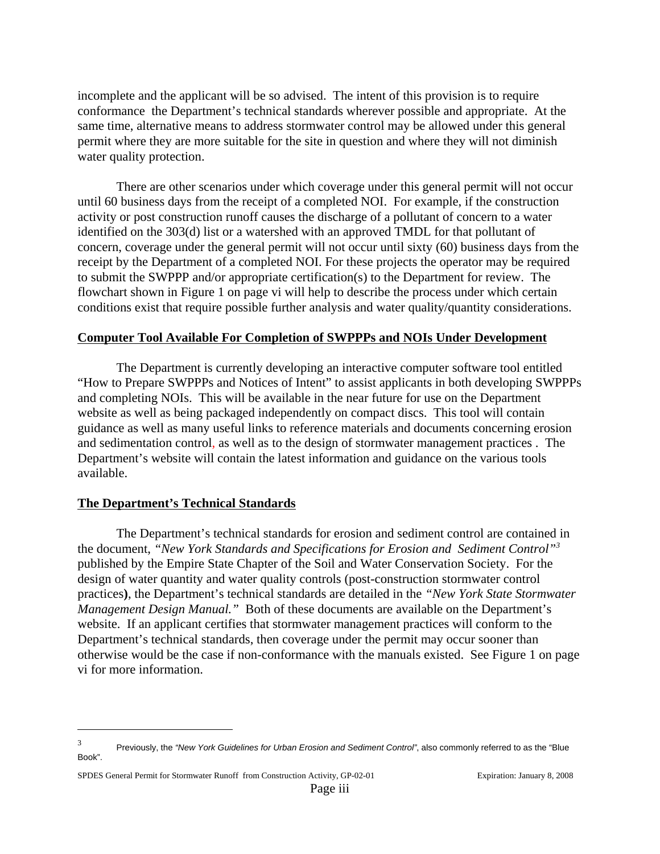incomplete and the applicant will be so advised. The intent of this provision is to require conformance the Department's technical standards wherever possible and appropriate. At the same time, alternative means to address stormwater control may be allowed under this general permit where they are more suitable for the site in question and where they will not diminish water quality protection.

There are other scenarios under which coverage under this general permit will not occur until 60 business days from the receipt of a completed NOI. For example, if the construction activity or post construction runoff causes the discharge of a pollutant of concern to a water identified on the 303(d) list or a watershed with an approved TMDL for that pollutant of concern, coverage under the general permit will not occur until sixty (60) business days from the receipt by the Department of a completed NOI. For these projects the operator may be required to submit the SWPPP and/or appropriate certification(s) to the Department for review. The flowchart shown in Figure 1 on page vi will help to describe the process under which certain conditions exist that require possible further analysis and water quality/quantity considerations.

# **Computer Tool Available For Completion of SWPPPs and NOIs Under Development**

The Department is currently developing an interactive computer software tool entitled "How to Prepare SWPPPs and Notices of Intent" to assist applicants in both developing SWPPPs and completing NOIs. This will be available in the near future for use on the Department website as well as being packaged independently on compact discs. This tool will contain guidance as well as many useful links to reference materials and documents concerning erosion and sedimentation control, as well as to the design of stormwater management practices . The Department's website will contain the latest information and guidance on the various tools available.

# **The Department's Technical Standards**

The Department's technical standards for erosion and sediment control are contained in the document, *"New York Standards and Specifications for Erosion and Sediment Control"3* published by the Empire State Chapter of the Soil and Water Conservation Society. For the design of water quantity and water quality controls (post-construction stormwater control practices**)**, the Department's technical standards are detailed in the *"New York State Stormwater Management Design Manual."* Both of these documents are available on the Department's website. If an applicant certifies that stormwater management practices will conform to the Department's technical standards, then coverage under the permit may occur sooner than otherwise would be the case if non-conformance with the manuals existed. See Figure 1 on page vi for more information.

<sup>3</sup> Previously, the *"New York Guidelines for Urban Erosion and Sediment Control"*, also commonly referred to as the "Blue Book".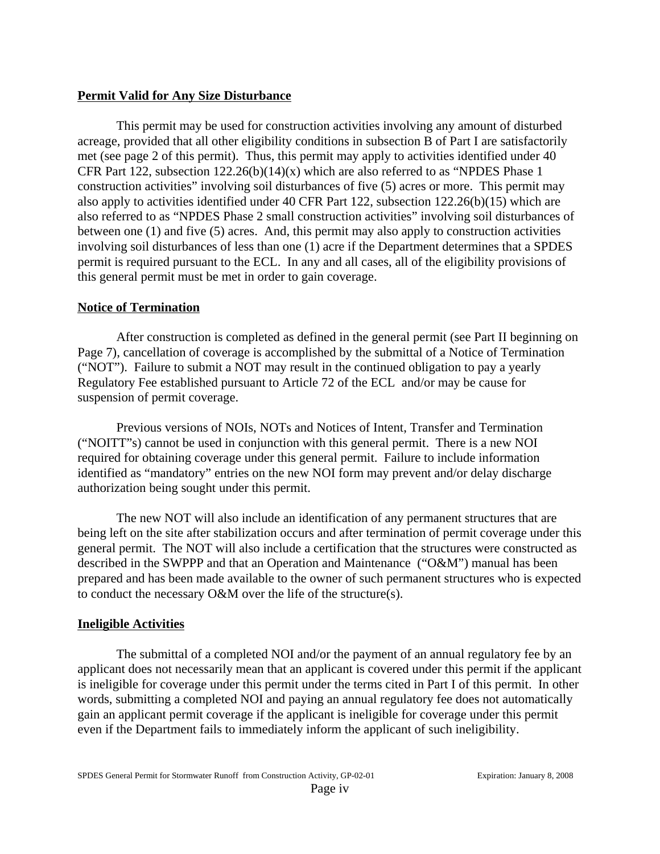# **Permit Valid for Any Size Disturbance**

This permit may be used for construction activities involving any amount of disturbed acreage, provided that all other eligibility conditions in subsection B of Part I are satisfactorily met (see page 2 of this permit). Thus, this permit may apply to activities identified under 40 CFR Part 122, subsection  $122.26(b)(14)(x)$  which are also referred to as "NPDES Phase 1 construction activities" involving soil disturbances of five (5) acres or more. This permit may also apply to activities identified under 40 CFR Part 122, subsection 122.26(b)(15) which are also referred to as "NPDES Phase 2 small construction activities" involving soil disturbances of between one (1) and five (5) acres. And, this permit may also apply to construction activities involving soil disturbances of less than one (1) acre if the Department determines that a SPDES permit is required pursuant to the ECL. In any and all cases, all of the eligibility provisions of this general permit must be met in order to gain coverage.

# **Notice of Termination**

After construction is completed as defined in the general permit (see Part II beginning on Page 7), cancellation of coverage is accomplished by the submittal of a Notice of Termination ("NOT"). Failure to submit a NOT may result in the continued obligation to pay a yearly Regulatory Fee established pursuant to Article 72 of the ECL and/or may be cause for suspension of permit coverage.

Previous versions of NOIs, NOTs and Notices of Intent, Transfer and Termination ("NOITT"s) cannot be used in conjunction with this general permit. There is a new NOI required for obtaining coverage under this general permit. Failure to include information identified as "mandatory" entries on the new NOI form may prevent and/or delay discharge authorization being sought under this permit.

The new NOT will also include an identification of any permanent structures that are being left on the site after stabilization occurs and after termination of permit coverage under this general permit. The NOT will also include a certification that the structures were constructed as described in the SWPPP and that an Operation and Maintenance ("O&M") manual has been prepared and has been made available to the owner of such permanent structures who is expected to conduct the necessary O&M over the life of the structure(s).

# **Ineligible Activities**

The submittal of a completed NOI and/or the payment of an annual regulatory fee by an applicant does not necessarily mean that an applicant is covered under this permit if the applicant is ineligible for coverage under this permit under the terms cited in Part I of this permit. In other words, submitting a completed NOI and paying an annual regulatory fee does not automatically gain an applicant permit coverage if the applicant is ineligible for coverage under this permit even if the Department fails to immediately inform the applicant of such ineligibility.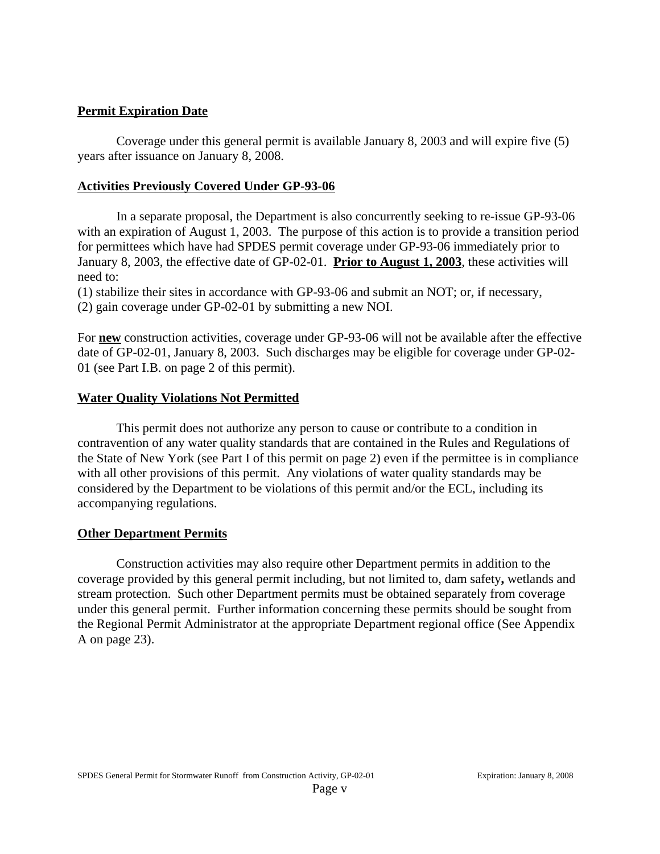# **Permit Expiration Date**

Coverage under this general permit is available January 8, 2003 and will expire five (5) years after issuance on January 8, 2008.

# **Activities Previously Covered Under GP-93-06**

In a separate proposal, the Department is also concurrently seeking to re-issue GP-93-06 with an expiration of August 1, 2003. The purpose of this action is to provide a transition period for permittees which have had SPDES permit coverage under GP-93-06 immediately prior to January 8, 2003, the effective date of GP-02-01. **Prior to August 1, 2003**, these activities will need to:

(1) stabilize their sites in accordance with GP-93-06 and submit an NOT; or, if necessary, (2) gain coverage under GP-02-01 by submitting a new NOI.

For **new** construction activities, coverage under GP-93-06 will not be available after the effective date of GP-02-01, January 8, 2003. Such discharges may be eligible for coverage under GP-02- 01 (see Part I.B. on page 2 of this permit).

# **Water Quality Violations Not Permitted**

This permit does not authorize any person to cause or contribute to a condition in contravention of any water quality standards that are contained in the Rules and Regulations of the State of New York (see Part I of this permit on page 2) even if the permittee is in compliance with all other provisions of this permit. Any violations of water quality standards may be considered by the Department to be violations of this permit and/or the ECL, including its accompanying regulations.

### **Other Department Permits**

Construction activities may also require other Department permits in addition to the coverage provided by this general permit including, but not limited to, dam safety**,** wetlands and stream protection. Such other Department permits must be obtained separately from coverage under this general permit. Further information concerning these permits should be sought from the Regional Permit Administrator at the appropriate Department regional office (See Appendix A on page 23).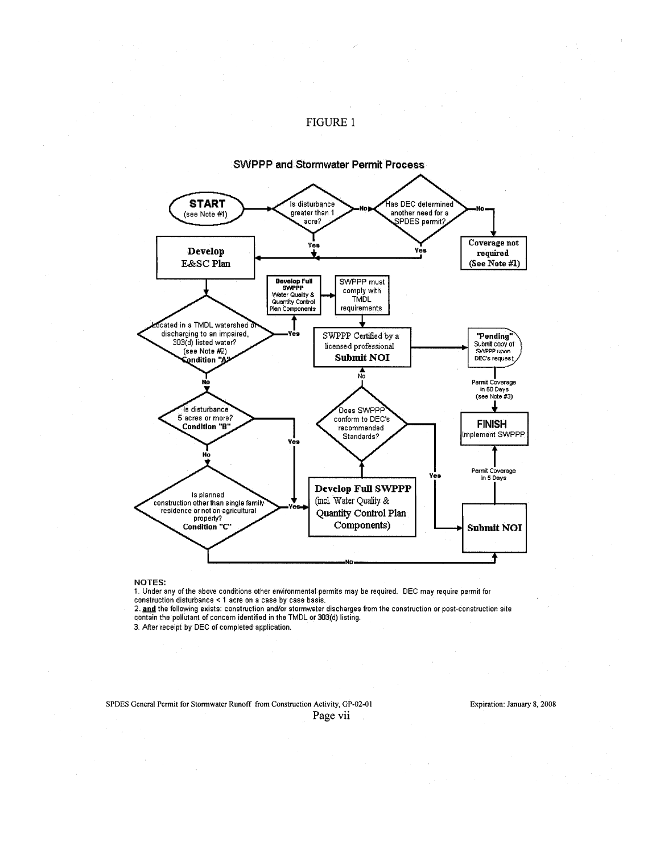#### **FIGURE 1**



#### **NOTES:**

1. Under any of the above conditions other environmental permits may be required. DEC may require permit for construction disturbance  $\leq 1$  acre on a case by case basis.

2. and the following exists: construction and/or stormwater discharges from the construction or post-construction site contain the pollutant of concern identified in the TMDL or 303(d) listing.

3. After receipt by DEC of completed application.

SPDES General Permit for Stormwater Runoff from Construction Activity, GP-02-01 Page vii

Expiration: January 8, 2008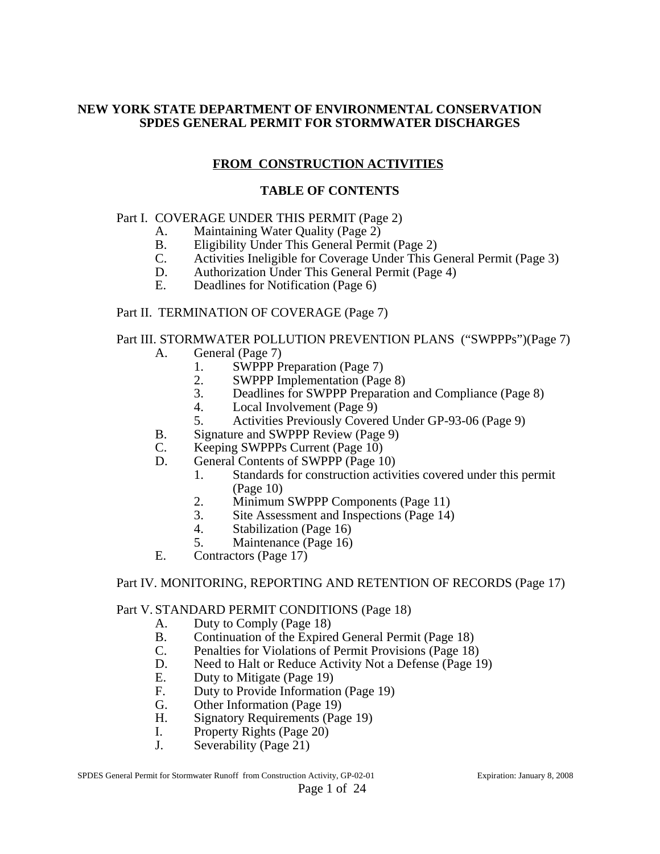### **NEW YORK STATE DEPARTMENT OF ENVIRONMENTAL CONSERVATION SPDES GENERAL PERMIT FOR STORMWATER DISCHARGES**

# **FROM CONSTRUCTION ACTIVITIES**

### **TABLE OF CONTENTS**

# Part I. COVERAGE UNDER THIS PERMIT (Page 2)

- A. Maintaining Water Quality (Page 2)
- B. Eligibility Under This General Permit (Page 2)<br>C. Activities Ineligible for Coverage Under This C
- Activities Ineligible for Coverage Under This General Permit (Page 3)
- D. Authorization Under This General Permit (Page 4)
- E. Deadlines for Notification (Page 6)

# Part II. TERMINATION OF COVERAGE (Page 7)

### Part III. STORMWATER POLLUTION PREVENTION PLANS ("SWPPPs")(Page 7) A. General (Page 7)

- - 1. SWPPP Preparation (Page 7)
	- 2. SWPPP Implementation (Page 8)
	- 3. Deadlines for SWPPP Preparation and Compliance (Page 8)
	- 4. Local Involvement (Page 9)
	- 5. Activities Previously Covered Under GP-93-06 (Page 9)
- B. Signature and SWPPP Review (Page 9)
- C. Keeping SWPPPs Current (Page 10)
- D. General Contents of SWPPP (Page 10)
	- 1. Standards for construction activities covered under this permit  $(Page 10)$
	- 2. Minimum SWPPP Components (Page 11)
	- 3. Site Assessment and Inspections (Page 14)
	- 4. Stabilization (Page 16)
	- 5. Maintenance (Page 16)
- E. Contractors (Page 17)

### Part IV. MONITORING, REPORTING AND RETENTION OF RECORDS (Page 17)

### Part V. STANDARD PERMIT CONDITIONS (Page 18)

- A. Duty to Comply (Page 18)
- B. Continuation of the Expired General Permit (Page 18)
- C. Penalties for Violations of Permit Provisions (Page 18)
- D. Need to Halt or Reduce Activity Not a Defense (Page 19)<br>E. Duty to Mitigate (Page 19)
- Duty to Mitigate (Page 19)
- F. Duty to Provide Information (Page 19)
- G. Other Information (Page 19)
- H. Signatory Requirements (Page 19)
- I. Property Rights (Page 20)
- J. Severability (Page 21)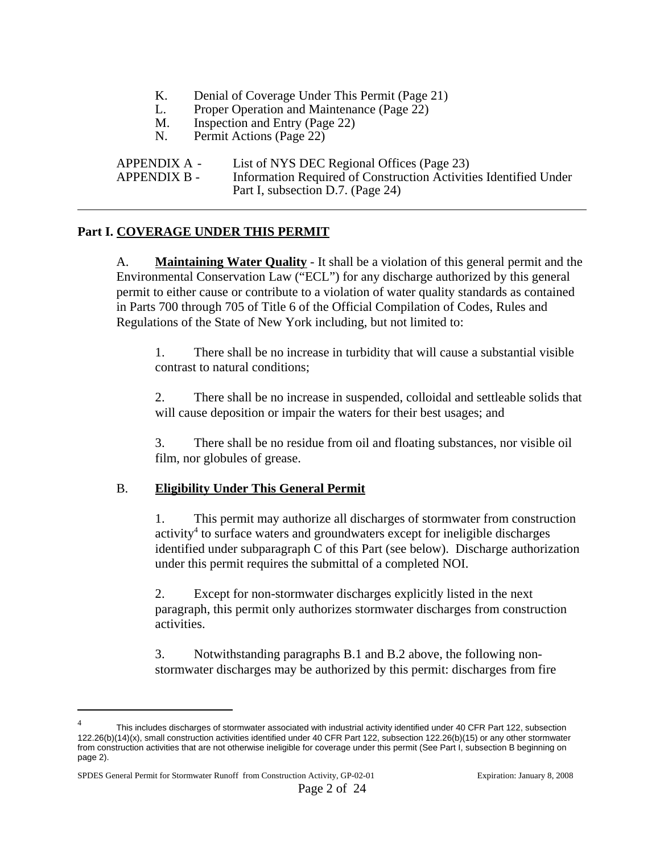- K. Denial of Coverage Under This Permit (Page 21)
- L. Proper Operation and Maintenance (Page 22)
- M. Inspection and Entry (Page 22)
- N. Permit Actions (Page 22)

APPENDIX A - List of NYS DEC Regional Offices (Page 23) APPENDIX B - Information Required of Construction Activities Identified Under Part I, subsection D.7. (Page 24)

# **Part I. COVERAGE UNDER THIS PERMIT**

 A. **Maintaining Water Quality** - It shall be a violation of this general permit and the Environmental Conservation Law ("ECL") for any discharge authorized by this general permit to either cause or contribute to a violation of water quality standards as contained in Parts 700 through 705 of Title 6 of the Official Compilation of Codes, Rules and Regulations of the State of New York including, but not limited to:

1. There shall be no increase in turbidity that will cause a substantial visible contrast to natural conditions;

2. There shall be no increase in suspended, colloidal and settleable solids that will cause deposition or impair the waters for their best usages; and

3. There shall be no residue from oil and floating substances, nor visible oil film, nor globules of grease.

# B. **Eligibility Under This General Permit**

1. This permit may authorize all discharges of stormwater from construction activity<sup>4</sup> to surface waters and groundwaters except for ineligible discharges identified under subparagraph C of this Part (see below). Discharge authorization under this permit requires the submittal of a completed NOI.

2. Except for non-stormwater discharges explicitly listed in the next paragraph, this permit only authorizes stormwater discharges from construction activities.

3. Notwithstanding paragraphs B.1 and B.2 above, the following nonstormwater discharges may be authorized by this permit: discharges from fire

This includes discharges of stormwater associated with industrial activity identified under 40 CFR Part 122, subsection 122.26(b)(14)(x), small construction activities identified under 40 CFR Part 122, subsection 122.26(b)(15) or any other stormwater from construction activities that are not otherwise ineligible for coverage under this permit (See Part I, subsection B beginning on page 2).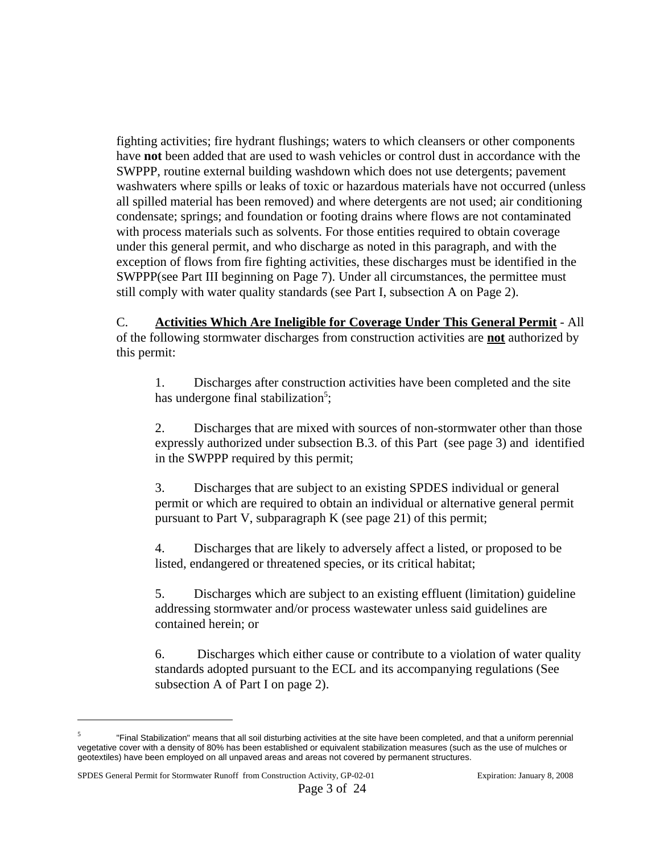fighting activities; fire hydrant flushings; waters to which cleansers or other components have **not** been added that are used to wash vehicles or control dust in accordance with the SWPPP, routine external building washdown which does not use detergents; pavement washwaters where spills or leaks of toxic or hazardous materials have not occurred (unless all spilled material has been removed) and where detergents are not used; air conditioning condensate; springs; and foundation or footing drains where flows are not contaminated with process materials such as solvents. For those entities required to obtain coverage under this general permit, and who discharge as noted in this paragraph, and with the exception of flows from fire fighting activities, these discharges must be identified in the SWPPP(see Part III beginning on Page 7). Under all circumstances, the permittee must still comply with water quality standards (see Part I, subsection A on Page 2).

C. **Activities Which Are Ineligible for Coverage Under This General Permit** - All of the following stormwater discharges from construction activities are **not** authorized by this permit:

1. Discharges after construction activities have been completed and the site has undergone final stabilization<sup>5</sup>;

2. Discharges that are mixed with sources of non-stormwater other than those expressly authorized under subsection B.3. of this Part (see page 3) and identified in the SWPPP required by this permit;

3. Discharges that are subject to an existing SPDES individual or general permit or which are required to obtain an individual or alternative general permit pursuant to Part V, subparagraph K (see page 21) of this permit;

4. Discharges that are likely to adversely affect a listed, or proposed to be listed, endangered or threatened species, or its critical habitat;

5. Discharges which are subject to an existing effluent (limitation) guideline addressing stormwater and/or process wastewater unless said guidelines are contained herein; or

6. Discharges which either cause or contribute to a violation of water quality standards adopted pursuant to the ECL and its accompanying regulations (See subsection A of Part I on page 2).

<sup>5</sup> "Final Stabilization" means that all soil disturbing activities at the site have been completed, and that a uniform perennial vegetative cover with a density of 80% has been established or equivalent stabilization measures (such as the use of mulches or geotextiles) have been employed on all unpaved areas and areas not covered by permanent structures.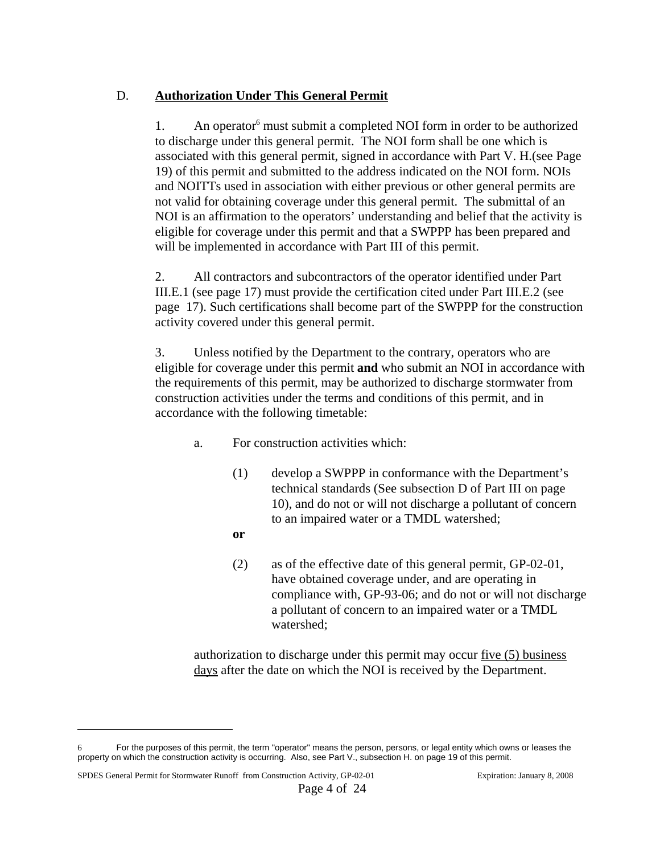# D. **Authorization Under This General Permit**

1. An operator<sup>6</sup> must submit a completed NOI form in order to be authorized to discharge under this general permit. The NOI form shall be one which is associated with this general permit, signed in accordance with Part V. H.(see Page 19) of this permit and submitted to the address indicated on the NOI form. NOIs and NOITTs used in association with either previous or other general permits are not valid for obtaining coverage under this general permit. The submittal of an NOI is an affirmation to the operators' understanding and belief that the activity is eligible for coverage under this permit and that a SWPPP has been prepared and will be implemented in accordance with Part III of this permit.

2. All contractors and subcontractors of the operator identified under Part III.E.1 (see page 17) must provide the certification cited under Part III.E.2 (see page 17). Such certifications shall become part of the SWPPP for the construction activity covered under this general permit.

3. Unless notified by the Department to the contrary, operators who are eligible for coverage under this permit **and** who submit an NOI in accordance with the requirements of this permit, may be authorized to discharge stormwater from construction activities under the terms and conditions of this permit, and in accordance with the following timetable:

- a. For construction activities which:
	- (1) develop a SWPPP in conformance with the Department's technical standards (See subsection D of Part III on page 10), and do not or will not discharge a pollutant of concern to an impaired water or a TMDL watershed;
	- **or**
	- (2) as of the effective date of this general permit, GP-02-01, have obtained coverage under, and are operating in compliance with, GP-93-06; and do not or will not discharge a pollutant of concern to an impaired water or a TMDL watershed;

authorization to discharge under this permit may occur five (5) business days after the date on which the NOI is received by the Department.

For the purposes of this permit, the term "operator" means the person, persons, or legal entity which owns or leases the property on which the construction activity is occurring. Also, see Part V., subsection H. on page 19 of this permit.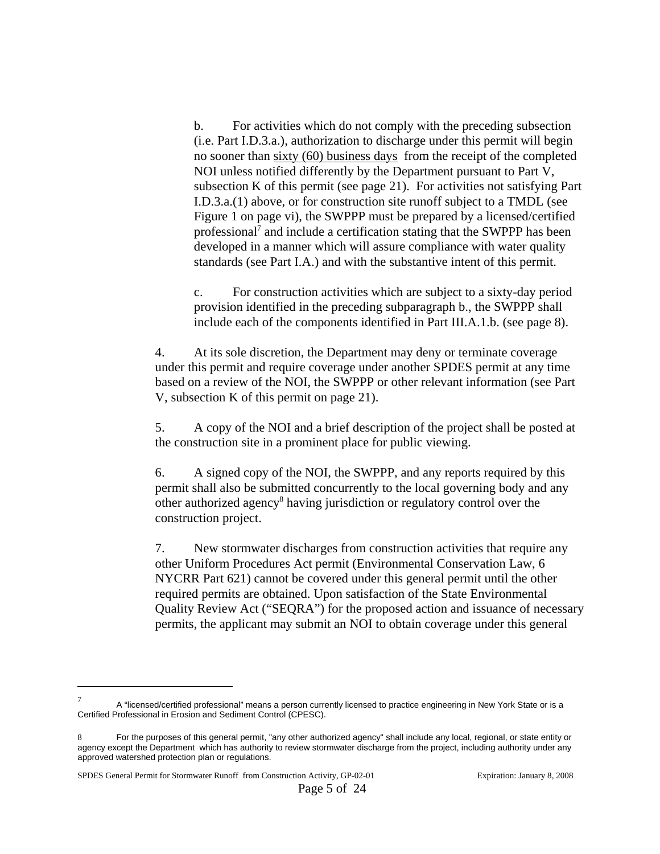b. For activities which do not comply with the preceding subsection (i.e. Part I.D.3.a.), authorization to discharge under this permit will begin no sooner than sixty (60) business days from the receipt of the completed NOI unless notified differently by the Department pursuant to Part V, subsection K of this permit (see page 21). For activities not satisfying Part I.D.3.a.(1) above, or for construction site runoff subject to a TMDL (see Figure 1 on page vi), the SWPPP must be prepared by a licensed/certified professional<sup>7</sup> and include a certification stating that the SWPPP has been developed in a manner which will assure compliance with water quality standards (see Part I.A.) and with the substantive intent of this permit.

c. For construction activities which are subject to a sixty-day period provision identified in the preceding subparagraph b., the SWPPP shall include each of the components identified in Part III.A.1.b. (see page 8).

4. At its sole discretion, the Department may deny or terminate coverage under this permit and require coverage under another SPDES permit at any time based on a review of the NOI, the SWPPP or other relevant information (see Part V, subsection K of this permit on page 21).

5. A copy of the NOI and a brief description of the project shall be posted at the construction site in a prominent place for public viewing.

6. A signed copy of the NOI, the SWPPP, and any reports required by this permit shall also be submitted concurrently to the local governing body and any other authorized agency<sup>8</sup> having jurisdiction or regulatory control over the construction project.

7. New stormwater discharges from construction activities that require any other Uniform Procedures Act permit (Environmental Conservation Law, 6 NYCRR Part 621) cannot be covered under this general permit until the other required permits are obtained. Upon satisfaction of the State Environmental Quality Review Act ("SEQRA") for the proposed action and issuance of necessary permits, the applicant may submit an NOI to obtain coverage under this general

A "licensed/certified professional" means a person currently licensed to practice engineering in New York State or is a Certified Professional in Erosion and Sediment Control (CPESC).

<sup>8</sup> For the purposes of this general permit, "any other authorized agency" shall include any local, regional, or state entity or agency except the Department which has authority to review stormwater discharge from the project, including authority under any approved watershed protection plan or regulations.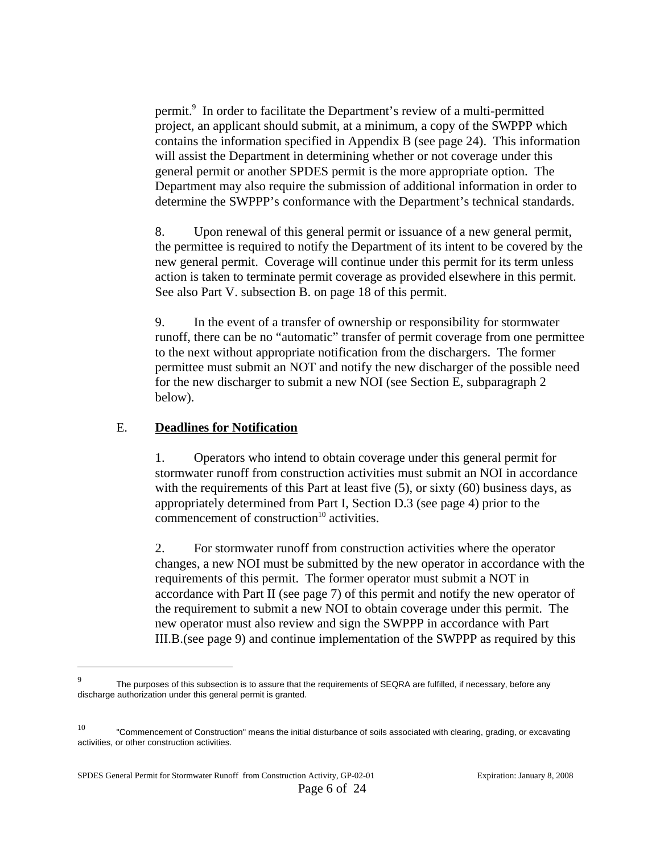permit.<sup>9</sup> In order to facilitate the Department's review of a multi-permitted project, an applicant should submit, at a minimum, a copy of the SWPPP which contains the information specified in Appendix B (see page 24). This information will assist the Department in determining whether or not coverage under this general permit or another SPDES permit is the more appropriate option. The Department may also require the submission of additional information in order to determine the SWPPP's conformance with the Department's technical standards.

8. Upon renewal of this general permit or issuance of a new general permit, the permittee is required to notify the Department of its intent to be covered by the new general permit. Coverage will continue under this permit for its term unless action is taken to terminate permit coverage as provided elsewhere in this permit. See also Part V. subsection B. on page 18 of this permit.

9. In the event of a transfer of ownership or responsibility for stormwater runoff, there can be no "automatic" transfer of permit coverage from one permittee to the next without appropriate notification from the dischargers. The former permittee must submit an NOT and notify the new discharger of the possible need for the new discharger to submit a new NOI (see Section E, subparagraph 2 below).

# E. **Deadlines for Notification**

1. Operators who intend to obtain coverage under this general permit for stormwater runoff from construction activities must submit an NOI in accordance with the requirements of this Part at least five (5), or sixty (60) business days, as appropriately determined from Part I, Section D.3 (see page 4) prior to the commencement of construction<sup>10</sup> activities.

2. For stormwater runoff from construction activities where the operator changes, a new NOI must be submitted by the new operator in accordance with the requirements of this permit. The former operator must submit a NOT in accordance with Part II (see page 7) of this permit and notify the new operator of the requirement to submit a new NOI to obtain coverage under this permit. The new operator must also review and sign the SWPPP in accordance with Part III.B.(see page 9) and continue implementation of the SWPPP as required by this

The purposes of this subsection is to assure that the requirements of SEQRA are fulfilled, if necessary, before any discharge authorization under this general permit is granted.

 $10$  "Commencement of Construction" means the initial disturbance of soils associated with clearing, grading, or excavating activities, or other construction activities.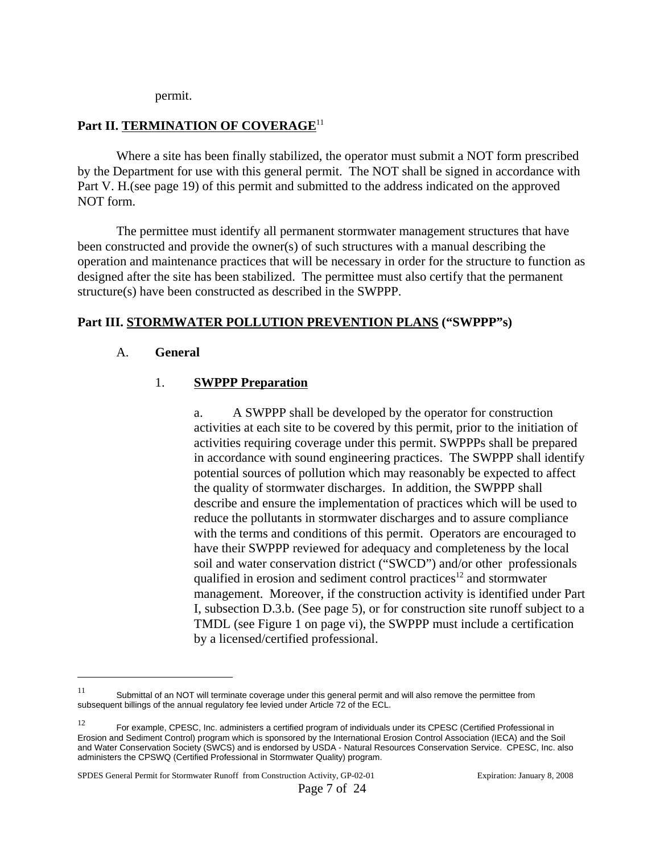permit.

### Part II. TERMINATION OF COVERAGE<sup>11</sup>

Where a site has been finally stabilized, the operator must submit a NOT form prescribed by the Department for use with this general permit. The NOT shall be signed in accordance with Part V. H.(see page 19) of this permit and submitted to the address indicated on the approved NOT form.

The permittee must identify all permanent stormwater management structures that have been constructed and provide the owner(s) of such structures with a manual describing the operation and maintenance practices that will be necessary in order for the structure to function as designed after the site has been stabilized. The permittee must also certify that the permanent structure(s) have been constructed as described in the SWPPP.

# **Part III. STORMWATER POLLUTION PREVENTION PLANS ("SWPPP"s)**

### A. **General**

### 1. **SWPPP Preparation**

a. A SWPPP shall be developed by the operator for construction activities at each site to be covered by this permit, prior to the initiation of activities requiring coverage under this permit. SWPPPs shall be prepared in accordance with sound engineering practices. The SWPPP shall identify potential sources of pollution which may reasonably be expected to affect the quality of stormwater discharges. In addition, the SWPPP shall describe and ensure the implementation of practices which will be used to reduce the pollutants in stormwater discharges and to assure compliance with the terms and conditions of this permit. Operators are encouraged to have their SWPPP reviewed for adequacy and completeness by the local soil and water conservation district ("SWCD") and/or other professionals qualified in erosion and sediment control practices<sup>12</sup> and stormwater management. Moreover, if the construction activity is identified under Part I, subsection D.3.b. (See page 5), or for construction site runoff subject to a TMDL (see Figure 1 on page vi), the SWPPP must include a certification by a licensed/certified professional.

 $11$  Submittal of an NOT will terminate coverage under this general permit and will also remove the permittee from subsequent billings of the annual regulatory fee levied under Article 72 of the ECL.

 $12$  For example, CPESC, Inc. administers a certified program of individuals under its CPESC (Certified Professional in Erosion and Sediment Control) program which is sponsored by the International Erosion Control Association (IECA) and the Soil and Water Conservation Society (SWCS) and is endorsed by USDA - Natural Resources Conservation Service. CPESC, Inc. also administers the CPSWQ (Certified Professional in Stormwater Quality) program.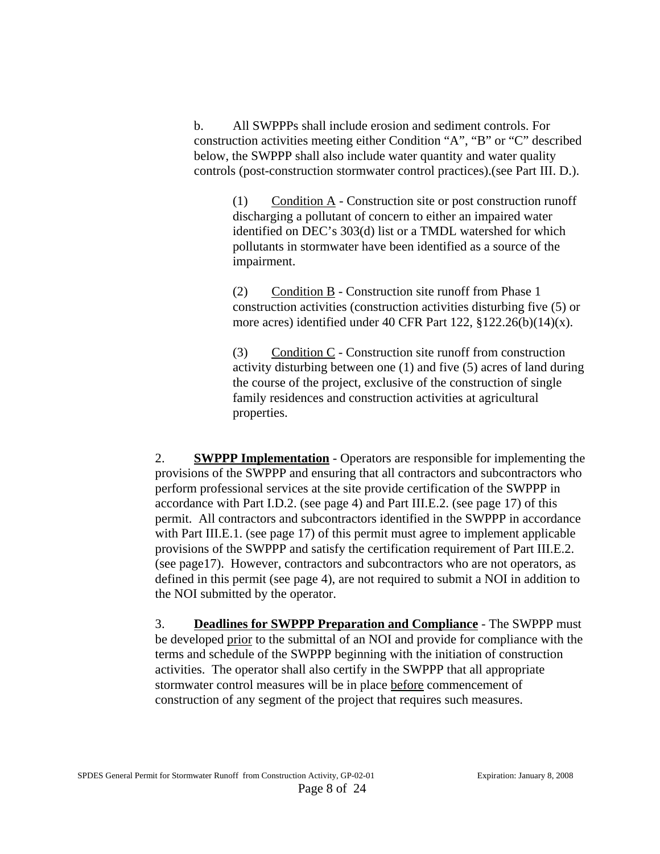b. All SWPPPs shall include erosion and sediment controls. For construction activities meeting either Condition "A", "B" or "C" described below, the SWPPP shall also include water quantity and water quality controls (post-construction stormwater control practices).(see Part III. D.).

> (1) Condition  $\overline{A}$  - Construction site or post construction runoff discharging a pollutant of concern to either an impaired water identified on DEC's 303(d) list or a TMDL watershed for which pollutants in stormwater have been identified as a source of the impairment.

> (2) Condition B - Construction site runoff from Phase 1 construction activities (construction activities disturbing five (5) or more acres) identified under 40 CFR Part 122, §122.26(b)(14)(x).

> (3) Condition C - Construction site runoff from construction activity disturbing between one (1) and five (5) acres of land during the course of the project, exclusive of the construction of single family residences and construction activities at agricultural properties.

2. **SWPPP Implementation** - Operators are responsible for implementing the provisions of the SWPPP and ensuring that all contractors and subcontractors who perform professional services at the site provide certification of the SWPPP in accordance with Part I.D.2. (see page 4) and Part III.E.2. (see page 17) of this permit. All contractors and subcontractors identified in the SWPPP in accordance with Part III.E.1. (see page 17) of this permit must agree to implement applicable provisions of the SWPPP and satisfy the certification requirement of Part III.E.2. (see page17). However, contractors and subcontractors who are not operators, as defined in this permit (see page 4), are not required to submit a NOI in addition to the NOI submitted by the operator.

3. **Deadlines for SWPPP Preparation and Compliance** - The SWPPP must be developed prior to the submittal of an NOI and provide for compliance with the terms and schedule of the SWPPP beginning with the initiation of construction activities. The operator shall also certify in the SWPPP that all appropriate stormwater control measures will be in place before commencement of construction of any segment of the project that requires such measures.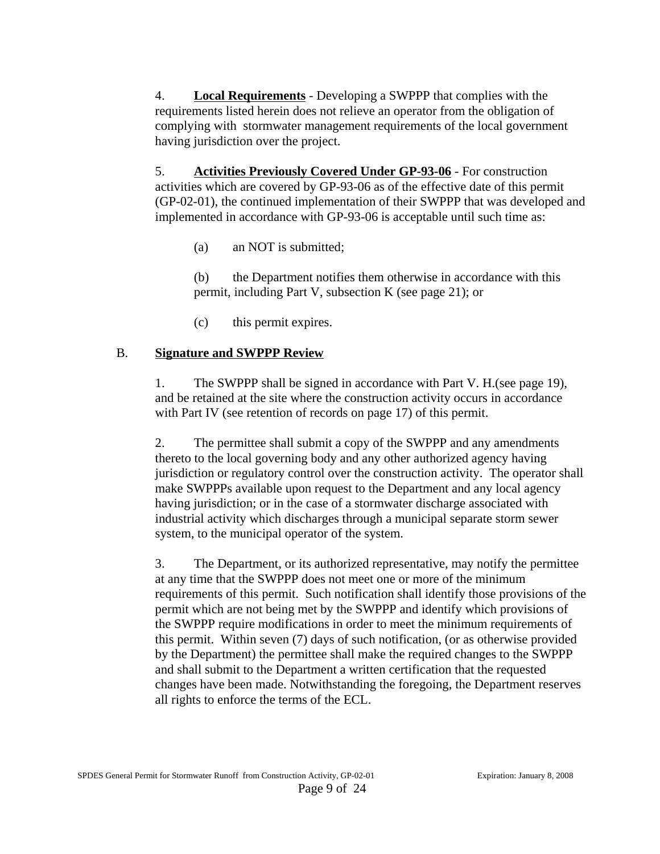4. **Local Requirements** - Developing a SWPPP that complies with the requirements listed herein does not relieve an operator from the obligation of complying with stormwater management requirements of the local government having jurisdiction over the project.

5. **Activities Previously Covered Under GP-93-06** - For construction activities which are covered by GP-93-06 as of the effective date of this permit (GP-02-01), the continued implementation of their SWPPP that was developed and implemented in accordance with GP-93-06 is acceptable until such time as:

(a) an NOT is submitted;

(b) the Department notifies them otherwise in accordance with this permit, including Part V, subsection K (see page 21); or

(c) this permit expires.

# B. **Signature and SWPPP Review**

1. The SWPPP shall be signed in accordance with Part V. H.(see page 19), and be retained at the site where the construction activity occurs in accordance with Part IV (see retention of records on page 17) of this permit.

2. The permittee shall submit a copy of the SWPPP and any amendments thereto to the local governing body and any other authorized agency having jurisdiction or regulatory control over the construction activity. The operator shall make SWPPPs available upon request to the Department and any local agency having jurisdiction; or in the case of a stormwater discharge associated with industrial activity which discharges through a municipal separate storm sewer system, to the municipal operator of the system.

3. The Department, or its authorized representative, may notify the permittee at any time that the SWPPP does not meet one or more of the minimum requirements of this permit. Such notification shall identify those provisions of the permit which are not being met by the SWPPP and identify which provisions of the SWPPP require modifications in order to meet the minimum requirements of this permit. Within seven (7) days of such notification, (or as otherwise provided by the Department) the permittee shall make the required changes to the SWPPP and shall submit to the Department a written certification that the requested changes have been made. Notwithstanding the foregoing, the Department reserves all rights to enforce the terms of the ECL.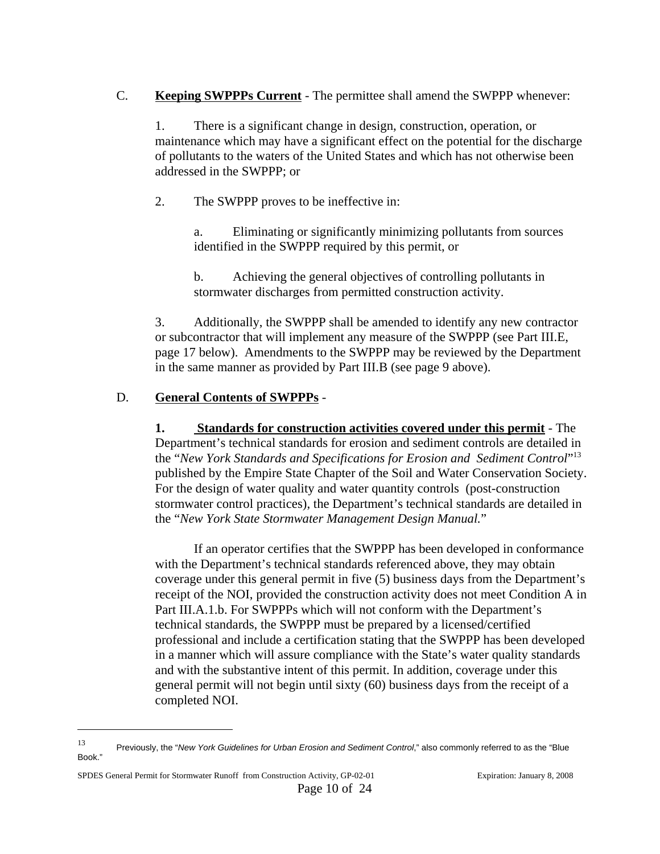C. **Keeping SWPPPs Current** - The permittee shall amend the SWPPP whenever:

1. There is a significant change in design, construction, operation, or maintenance which may have a significant effect on the potential for the discharge of pollutants to the waters of the United States and which has not otherwise been addressed in the SWPPP; or

2. The SWPPP proves to be ineffective in:

a. Eliminating or significantly minimizing pollutants from sources identified in the SWPPP required by this permit, or

b. Achieving the general objectives of controlling pollutants in stormwater discharges from permitted construction activity.

3. Additionally, the SWPPP shall be amended to identify any new contractor or subcontractor that will implement any measure of the SWPPP (see Part III.E, page 17 below). Amendments to the SWPPP may be reviewed by the Department in the same manner as provided by Part III.B (see page 9 above).

# D. **General Contents of SWPPPs** -

**1. Standards for construction activities covered under this permit** - The Department's technical standards for erosion and sediment controls are detailed in the "*New York Standards and Specifications for Erosion and Sediment Control*"13 published by the Empire State Chapter of the Soil and Water Conservation Society. For the design of water quality and water quantity controls (post-construction stormwater control practices), the Department's technical standards are detailed in the "*New York State Stormwater Management Design Manual.*"

If an operator certifies that the SWPPP has been developed in conformance with the Department's technical standards referenced above, they may obtain coverage under this general permit in five (5) business days from the Department's receipt of the NOI, provided the construction activity does not meet Condition A in Part III.A.1.b. For SWPPPs which will not conform with the Department's technical standards, the SWPPP must be prepared by a licensed/certified professional and include a certification stating that the SWPPP has been developed in a manner which will assure compliance with the State's water quality standards and with the substantive intent of this permit. In addition, coverage under this general permit will not begin until sixty (60) business days from the receipt of a completed NOI.

<sup>13</sup> Previously, the "*New York Guidelines for Urban Erosion and Sediment Control*," also commonly referred to as the "Blue Book."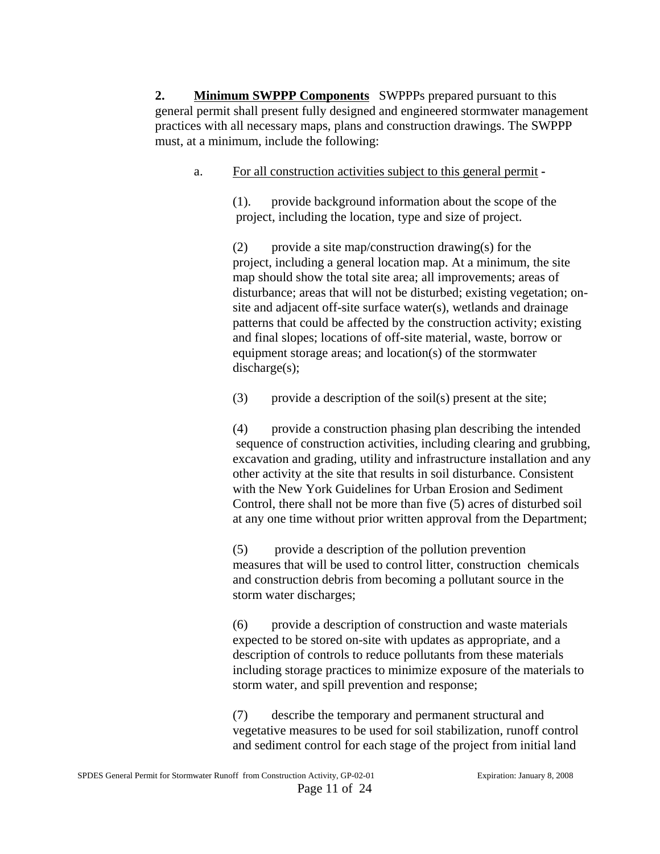**2. Minimum SWPPP Components** SWPPPs prepared pursuant to this general permit shall present fully designed and engineered stormwater management practices with all necessary maps, plans and construction drawings. The SWPPP must, at a minimum, include the following:

a. For all construction activities subject to this general permit **-**

(1). provide background information about the scope of the project, including the location, type and size of project.

(2) provide a site map/construction drawing(s) for the project, including a general location map. At a minimum, the site map should show the total site area; all improvements; areas of disturbance; areas that will not be disturbed; existing vegetation; onsite and adjacent off-site surface water(s), wetlands and drainage patterns that could be affected by the construction activity; existing and final slopes; locations of off-site material, waste, borrow or equipment storage areas; and location(s) of the stormwater discharge(s);

(3) provide a description of the soil(s) present at the site;

(4) provide a construction phasing plan describing the intended sequence of construction activities, including clearing and grubbing, excavation and grading, utility and infrastructure installation and any other activity at the site that results in soil disturbance. Consistent with the New York Guidelines for Urban Erosion and Sediment Control, there shall not be more than five (5) acres of disturbed soil at any one time without prior written approval from the Department;

(5) provide a description of the pollution prevention measures that will be used to control litter, construction chemicals and construction debris from becoming a pollutant source in the storm water discharges;

(6) provide a description of construction and waste materials expected to be stored on-site with updates as appropriate, and a description of controls to reduce pollutants from these materials including storage practices to minimize exposure of the materials to storm water, and spill prevention and response;

(7) describe the temporary and permanent structural and vegetative measures to be used for soil stabilization, runoff control and sediment control for each stage of the project from initial land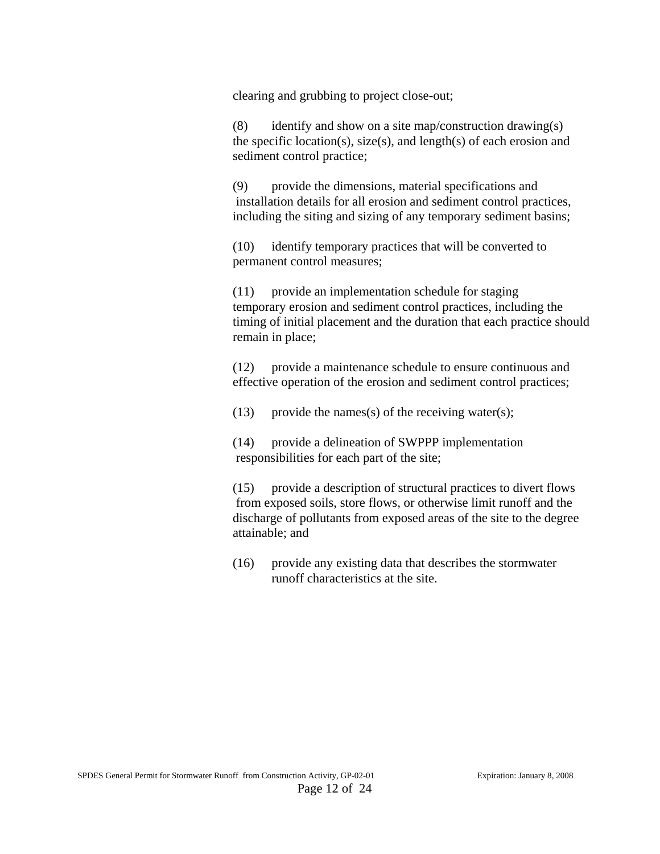clearing and grubbing to project close-out;

(8) identify and show on a site map/construction drawing(s) the specific location(s), size(s), and length(s) of each erosion and sediment control practice;

(9) provide the dimensions, material specifications and installation details for all erosion and sediment control practices, including the siting and sizing of any temporary sediment basins;

(10) identify temporary practices that will be converted to permanent control measures;

(11) provide an implementation schedule for staging temporary erosion and sediment control practices, including the timing of initial placement and the duration that each practice should remain in place;

(12) provide a maintenance schedule to ensure continuous and effective operation of the erosion and sediment control practices;

(13) provide the names(s) of the receiving water(s);

(14) provide a delineation of SWPPP implementation responsibilities for each part of the site;

(15) provide a description of structural practices to divert flows from exposed soils, store flows, or otherwise limit runoff and the discharge of pollutants from exposed areas of the site to the degree attainable; and

(16) provide any existing data that describes the stormwater runoff characteristics at the site.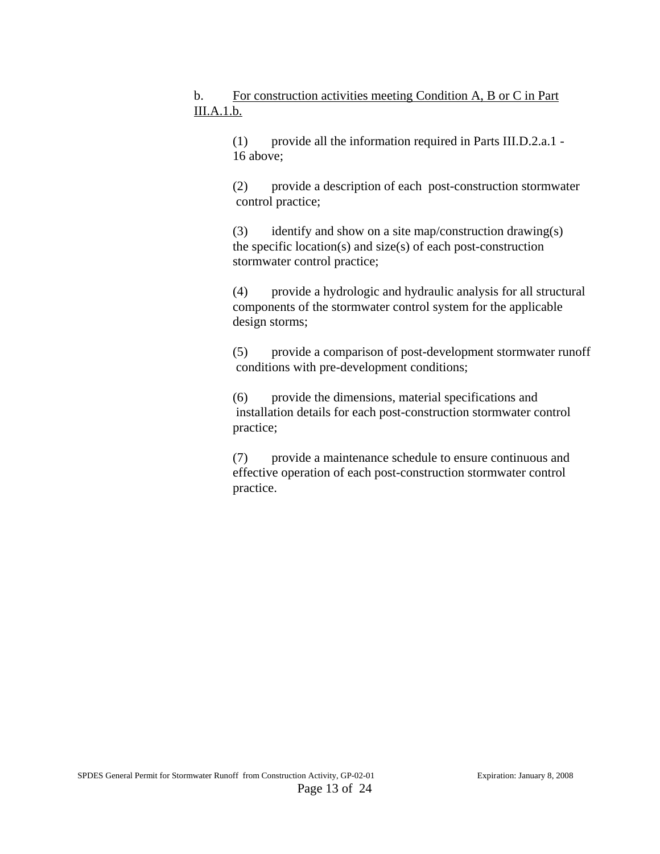b. For construction activities meeting Condition A, B or C in Part III.A.1.b.

> (1) provide all the information required in Parts III.D.2.a.1 - 16 above;

(2) provide a description of each post-construction stormwater control practice;

(3) identify and show on a site map/construction drawing(s) the specific location(s) and size(s) of each post-construction stormwater control practice;

(4) provide a hydrologic and hydraulic analysis for all structural components of the stormwater control system for the applicable design storms;

(5) provide a comparison of post-development stormwater runoff conditions with pre-development conditions;

(6) provide the dimensions, material specifications and installation details for each post-construction stormwater control practice;

(7) provide a maintenance schedule to ensure continuous and effective operation of each post-construction stormwater control practice.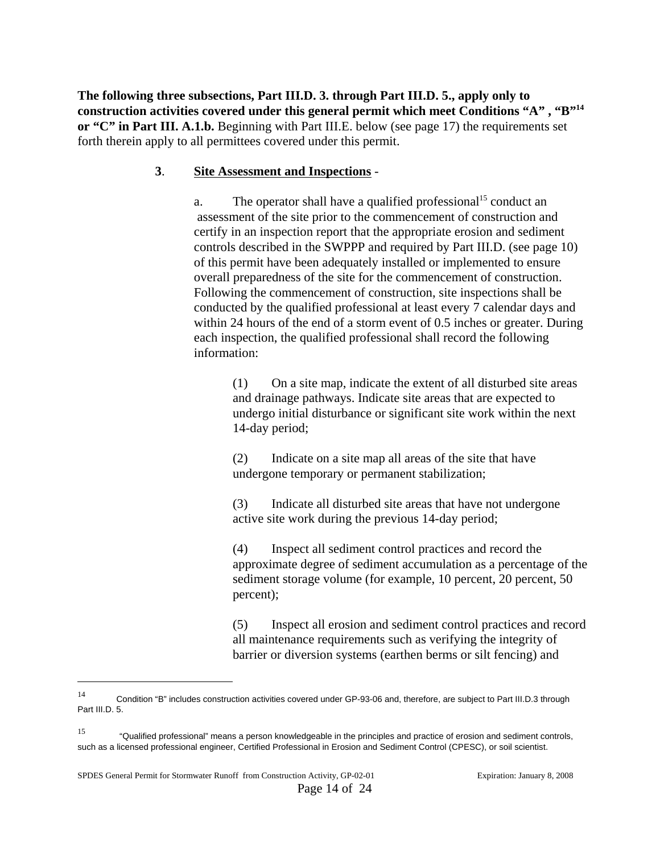**The following three subsections, Part III.D. 3. through Part III.D. 5., apply only to construction activities covered under this general permit which meet Conditions "A" , "B"14 or "C" in Part III. A.1.b.** Beginning with Part III.E. below (see page 17) the requirements set forth therein apply to all permittees covered under this permit.

# **3**. **Site Assessment and Inspections** -

a. The operator shall have a qualified professional<sup>15</sup> conduct an assessment of the site prior to the commencement of construction and certify in an inspection report that the appropriate erosion and sediment controls described in the SWPPP and required by Part III.D. (see page 10) of this permit have been adequately installed or implemented to ensure overall preparedness of the site for the commencement of construction. Following the commencement of construction, site inspections shall be conducted by the qualified professional at least every 7 calendar days and within 24 hours of the end of a storm event of 0.5 inches or greater. During each inspection, the qualified professional shall record the following information:

> (1) On a site map, indicate the extent of all disturbed site areas and drainage pathways. Indicate site areas that are expected to undergo initial disturbance or significant site work within the next 14-day period;

(2) Indicate on a site map all areas of the site that have undergone temporary or permanent stabilization;

(3) Indicate all disturbed site areas that have not undergone active site work during the previous 14-day period;

(4) Inspect all sediment control practices and record the approximate degree of sediment accumulation as a percentage of the sediment storage volume (for example, 10 percent, 20 percent, 50 percent);

(5) Inspect all erosion and sediment control practices and record all maintenance requirements such as verifying the integrity of barrier or diversion systems (earthen berms or silt fencing) and

<sup>14</sup> Condition "B" includes construction activities covered under GP-93-06 and, therefore, are subject to Part III.D.3 through Part III.D. 5.

<sup>15</sup> "Qualified professional" means a person knowledgeable in the principles and practice of erosion and sediment controls, such as a licensed professional engineer, Certified Professional in Erosion and Sediment Control (CPESC), or soil scientist.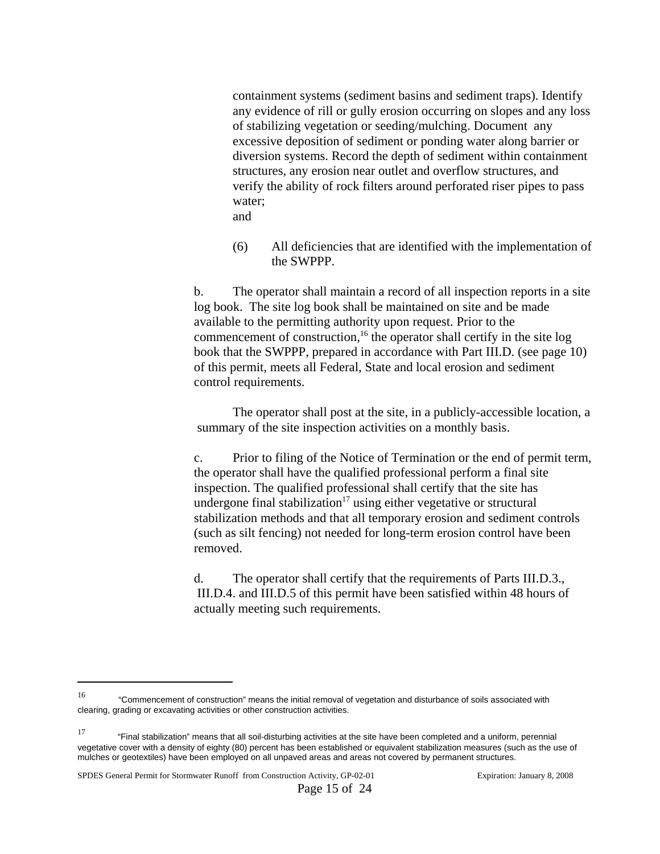containment systems (sediment basins and sediment traps). Identify any evidence of rill or gully erosion occurring on slopes and any loss of stabilizing vegetation or seeding/mulching. Document any excessive deposition of sediment or ponding water along barrier or diversion systems. Record the depth of sediment within containment structures, any erosion near outlet and overflow structures, and verify the ability of rock filters around perforated riser pipes to pass water;

and

(6) All deficiencies that are identified with the implementation of the SWPPP.

b. The operator shall maintain a record of all inspection reports in a site log book. The site log book shall be maintained on site and be made available to the permitting authority upon request. Prior to the commencement of construction,<sup>16</sup> the operator shall certify in the site log book that the SWPPP, prepared in accordance with Part III.D. (see page 10) of this permit, meets all Federal, State and local erosion and sediment control requirements.

The operator shall post at the site, in a publicly-accessible location, a summary of the site inspection activities on a monthly basis.

c. Prior to filing of the Notice of Termination or the end of permit term, the operator shall have the qualified professional perform a final site inspection. The qualified professional shall certify that the site has undergone final stabilization $17$  using either vegetative or structural stabilization methods and that all temporary erosion and sediment controls (such as silt fencing) not needed for long-term erosion control have been removed.

d. The operator shall certify that the requirements of Parts III.D.3., III.D.4. and III.D.5 of this permit have been satisfied within 48 hours of actually meeting such requirements.

<sup>&</sup>lt;sup>16</sup> "Commencement of construction" means the initial removal of vegetation and disturbance of soils associated with clearing, grading or excavating activities or other construction activities.

<sup>&</sup>lt;sup>17</sup> "Final stabilization" means that all soil-disturbing activities at the site have been completed and a uniform, perennial vegetative cover with a density of eighty (80) percent has been established or equivalent stabilization measures (such as the use of mulches or geotextiles) have been employed on all unpaved areas and areas not covered by permanent structures.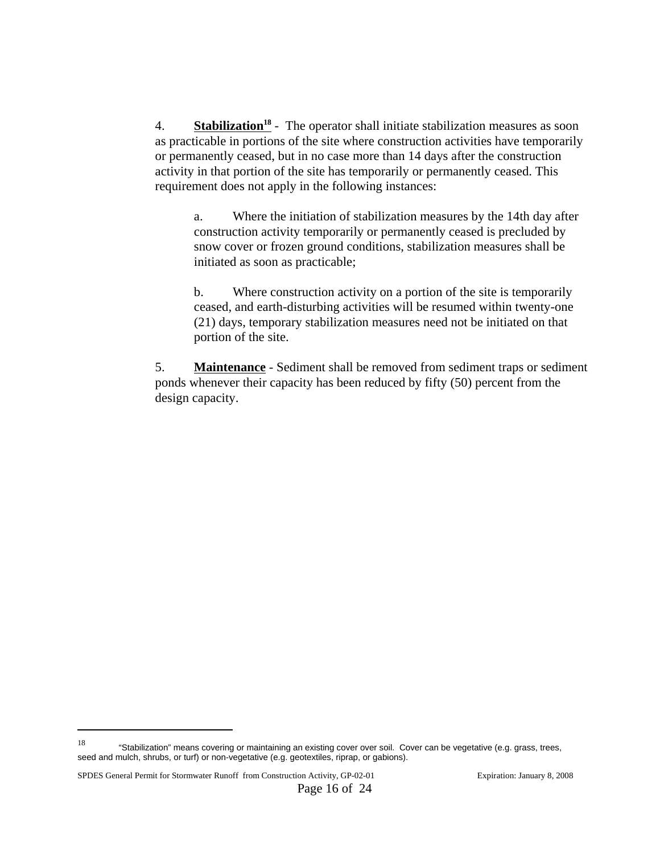4. **Stabilization<sup>18</sup>** - The operator shall initiate stabilization measures as soon as practicable in portions of the site where construction activities have temporarily or permanently ceased, but in no case more than 14 days after the construction activity in that portion of the site has temporarily or permanently ceased. This requirement does not apply in the following instances:

a. Where the initiation of stabilization measures by the 14th day after construction activity temporarily or permanently ceased is precluded by snow cover or frozen ground conditions, stabilization measures shall be initiated as soon as practicable;

b. Where construction activity on a portion of the site is temporarily ceased, and earth-disturbing activities will be resumed within twenty-one (21) days, temporary stabilization measures need not be initiated on that portion of the site.

5. **Maintenance** - Sediment shall be removed from sediment traps or sediment ponds whenever their capacity has been reduced by fifty (50) percent from the design capacity.

<sup>18 &</sup>quot;Stabilization" means covering or maintaining an existing cover over soil. Cover can be vegetative (e.g. grass, trees, seed and mulch, shrubs, or turf) or non-vegetative (e.g. geotextiles, riprap, or gabions).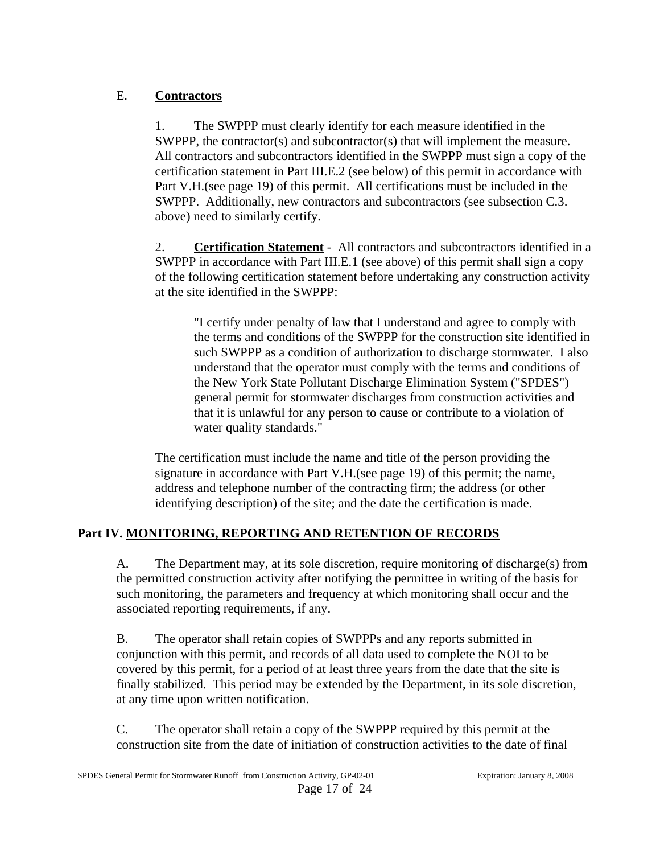# E. **Contractors**

1. The SWPPP must clearly identify for each measure identified in the SWPPP, the contractor(s) and subcontractor(s) that will implement the measure. All contractors and subcontractors identified in the SWPPP must sign a copy of the certification statement in Part III.E.2 (see below) of this permit in accordance with Part V.H.(see page 19) of this permit. All certifications must be included in the SWPPP. Additionally, new contractors and subcontractors (see subsection C.3. above) need to similarly certify.

2. **Certification Statement** - All contractors and subcontractors identified in a SWPPP in accordance with Part III.E.1 (see above) of this permit shall sign a copy of the following certification statement before undertaking any construction activity at the site identified in the SWPPP:

"I certify under penalty of law that I understand and agree to comply with the terms and conditions of the SWPPP for the construction site identified in such SWPPP as a condition of authorization to discharge stormwater. I also understand that the operator must comply with the terms and conditions of the New York State Pollutant Discharge Elimination System ("SPDES") general permit for stormwater discharges from construction activities and that it is unlawful for any person to cause or contribute to a violation of water quality standards."

The certification must include the name and title of the person providing the signature in accordance with Part V.H.(see page 19) of this permit; the name, address and telephone number of the contracting firm; the address (or other identifying description) of the site; and the date the certification is made.

# **Part IV. MONITORING, REPORTING AND RETENTION OF RECORDS**

A. The Department may, at its sole discretion, require monitoring of discharge(s) from the permitted construction activity after notifying the permittee in writing of the basis for such monitoring, the parameters and frequency at which monitoring shall occur and the associated reporting requirements, if any.

B. The operator shall retain copies of SWPPPs and any reports submitted in conjunction with this permit, and records of all data used to complete the NOI to be covered by this permit, for a period of at least three years from the date that the site is finally stabilized. This period may be extended by the Department, in its sole discretion, at any time upon written notification.

C. The operator shall retain a copy of the SWPPP required by this permit at the construction site from the date of initiation of construction activities to the date of final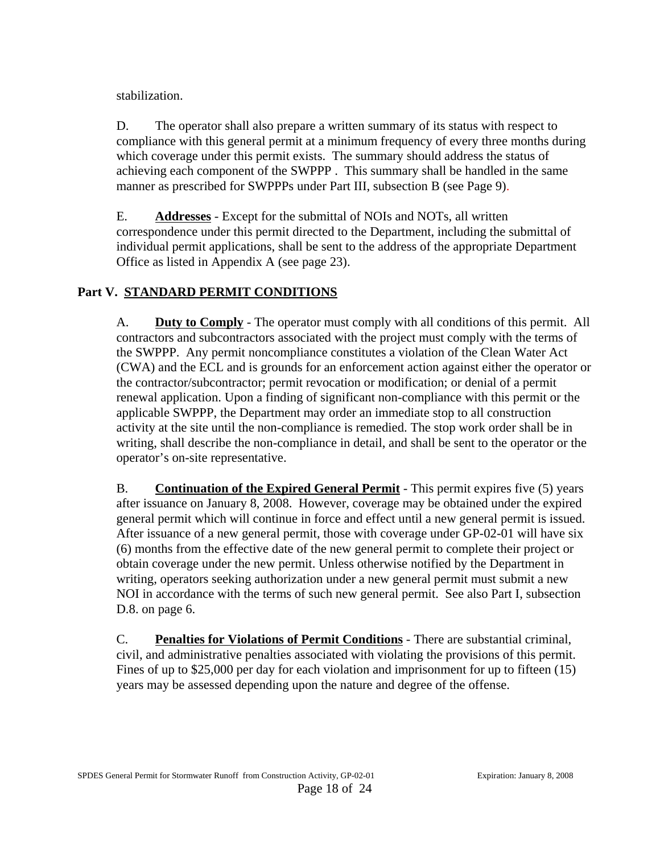stabilization.

D. The operator shall also prepare a written summary of its status with respect to compliance with this general permit at a minimum frequency of every three months during which coverage under this permit exists. The summary should address the status of achieving each component of the SWPPP . This summary shall be handled in the same manner as prescribed for SWPPPs under Part III, subsection B (see Page 9).

E. **Addresses** - Except for the submittal of NOIs and NOTs, all written correspondence under this permit directed to the Department, including the submittal of individual permit applications, shall be sent to the address of the appropriate Department Office as listed in Appendix A (see page 23).

# **Part V. STANDARD PERMIT CONDITIONS**

A. **Duty to Comply** - The operator must comply with all conditions of this permit. All contractors and subcontractors associated with the project must comply with the terms of the SWPPP. Any permit noncompliance constitutes a violation of the Clean Water Act (CWA) and the ECL and is grounds for an enforcement action against either the operator or the contractor/subcontractor; permit revocation or modification; or denial of a permit renewal application. Upon a finding of significant non-compliance with this permit or the applicable SWPPP, the Department may order an immediate stop to all construction activity at the site until the non-compliance is remedied. The stop work order shall be in writing, shall describe the non-compliance in detail, and shall be sent to the operator or the operator's on-site representative.

B. **Continuation of the Expired General Permit** - This permit expires five (5) years after issuance on January 8, 2008. However, coverage may be obtained under the expired general permit which will continue in force and effect until a new general permit is issued. After issuance of a new general permit, those with coverage under GP-02-01 will have six (6) months from the effective date of the new general permit to complete their project or obtain coverage under the new permit. Unless otherwise notified by the Department in writing, operators seeking authorization under a new general permit must submit a new NOI in accordance with the terms of such new general permit. See also Part I, subsection D.8. on page 6.

C. **Penalties for Violations of Permit Conditions** - There are substantial criminal, civil, and administrative penalties associated with violating the provisions of this permit. Fines of up to \$25,000 per day for each violation and imprisonment for up to fifteen (15) years may be assessed depending upon the nature and degree of the offense.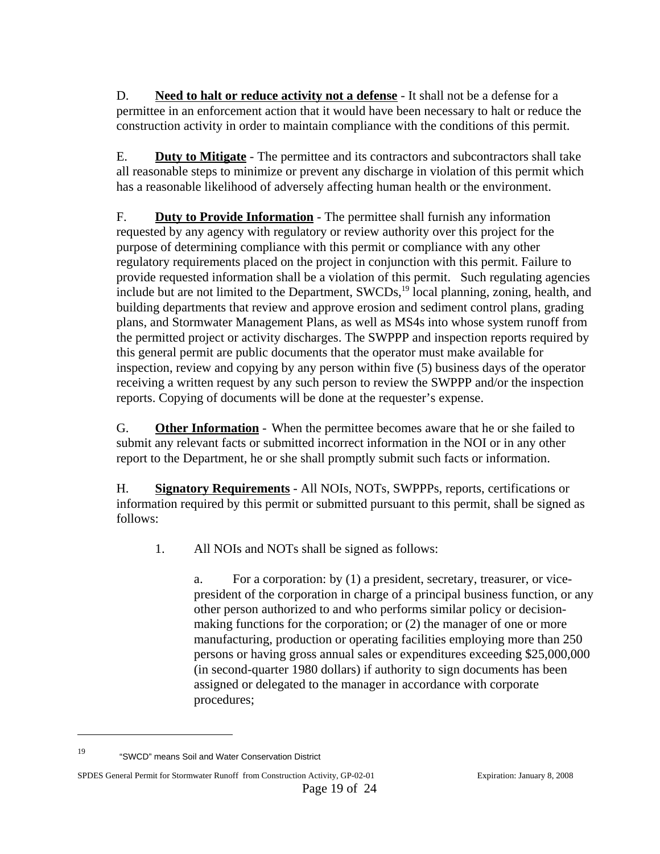D. **Need to halt or reduce activity not a defense** - It shall not be a defense for a permittee in an enforcement action that it would have been necessary to halt or reduce the construction activity in order to maintain compliance with the conditions of this permit.

E. **Duty to Mitigate** - The permittee and its contractors and subcontractors shall take all reasonable steps to minimize or prevent any discharge in violation of this permit which has a reasonable likelihood of adversely affecting human health or the environment.

F. **Duty to Provide Information** - The permittee shall furnish any information requested by any agency with regulatory or review authority over this project for the purpose of determining compliance with this permit or compliance with any other regulatory requirements placed on the project in conjunction with this permit. Failure to provide requested information shall be a violation of this permit. Such regulating agencies include but are not limited to the Department,  $SWCDs$ ,<sup>19</sup> local planning, zoning, health, and building departments that review and approve erosion and sediment control plans, grading plans, and Stormwater Management Plans, as well as MS4s into whose system runoff from the permitted project or activity discharges. The SWPPP and inspection reports required by this general permit are public documents that the operator must make available for inspection, review and copying by any person within five (5) business days of the operator receiving a written request by any such person to review the SWPPP and/or the inspection reports. Copying of documents will be done at the requester's expense.

G. **Other Information** - When the permittee becomes aware that he or she failed to submit any relevant facts or submitted incorrect information in the NOI or in any other report to the Department, he or she shall promptly submit such facts or information.

H. **Signatory Requirements** - All NOIs, NOTs, SWPPPs, reports, certifications or information required by this permit or submitted pursuant to this permit, shall be signed as follows:

1. All NOIs and NOTs shall be signed as follows:

a. For a corporation: by (1) a president, secretary, treasurer, or vicepresident of the corporation in charge of a principal business function, or any other person authorized to and who performs similar policy or decisionmaking functions for the corporation; or (2) the manager of one or more manufacturing, production or operating facilities employing more than 250 persons or having gross annual sales or expenditures exceeding \$25,000,000 (in second-quarter 1980 dollars) if authority to sign documents has been assigned or delegated to the manager in accordance with corporate procedures;

<sup>19 &</sup>quot;SWCD" means Soil and Water Conservation District

SPDES General Permit for Stormwater Runoff from Construction Activity, GP-02-01 Expiration: January 8, 2008 Page 19 of 24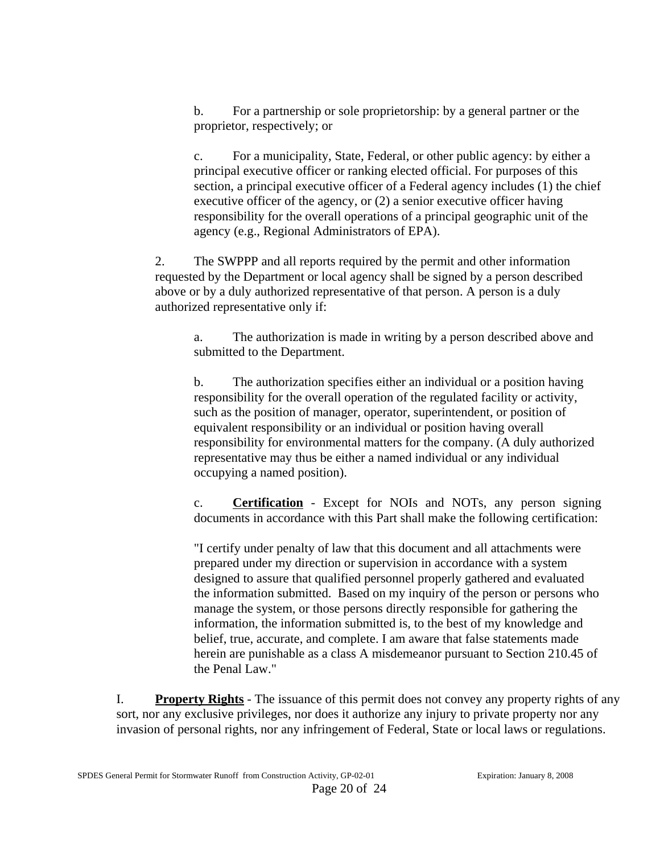b. For a partnership or sole proprietorship: by a general partner or the proprietor, respectively; or

c. For a municipality, State, Federal, or other public agency: by either a principal executive officer or ranking elected official. For purposes of this section, a principal executive officer of a Federal agency includes (1) the chief executive officer of the agency, or (2) a senior executive officer having responsibility for the overall operations of a principal geographic unit of the agency (e.g., Regional Administrators of EPA).

2. The SWPPP and all reports required by the permit and other information requested by the Department or local agency shall be signed by a person described above or by a duly authorized representative of that person. A person is a duly authorized representative only if:

a. The authorization is made in writing by a person described above and submitted to the Department.

b. The authorization specifies either an individual or a position having responsibility for the overall operation of the regulated facility or activity, such as the position of manager, operator, superintendent, or position of equivalent responsibility or an individual or position having overall responsibility for environmental matters for the company. (A duly authorized representative may thus be either a named individual or any individual occupying a named position).

c. **Certification** - Except for NOIs and NOTs, any person signing documents in accordance with this Part shall make the following certification:

"I certify under penalty of law that this document and all attachments were prepared under my direction or supervision in accordance with a system designed to assure that qualified personnel properly gathered and evaluated the information submitted. Based on my inquiry of the person or persons who manage the system, or those persons directly responsible for gathering the information, the information submitted is, to the best of my knowledge and belief, true, accurate, and complete. I am aware that false statements made herein are punishable as a class A misdemeanor pursuant to Section 210.45 of the Penal Law."

I. **Property Rights** - The issuance of this permit does not convey any property rights of any sort, nor any exclusive privileges, nor does it authorize any injury to private property nor any invasion of personal rights, nor any infringement of Federal, State or local laws or regulations.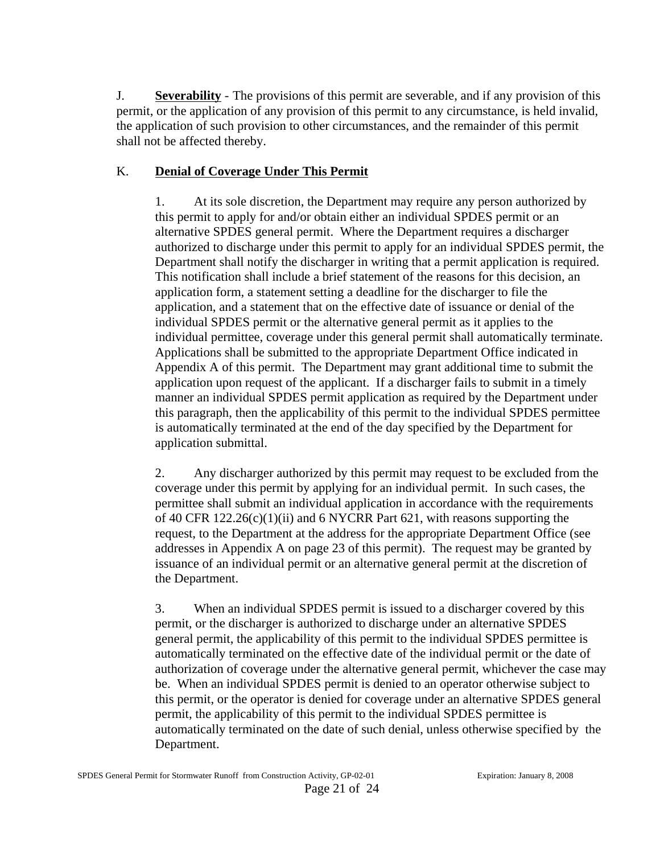J. **Severability** - The provisions of this permit are severable, and if any provision of this permit, or the application of any provision of this permit to any circumstance, is held invalid, the application of such provision to other circumstances, and the remainder of this permit shall not be affected thereby.

# K. **Denial of Coverage Under This Permit**

At its sole discretion, the Department may require any person authorized by this permit to apply for and/or obtain either an individual SPDES permit or an alternative SPDES general permit. Where the Department requires a discharger authorized to discharge under this permit to apply for an individual SPDES permit, the Department shall notify the discharger in writing that a permit application is required. This notification shall include a brief statement of the reasons for this decision, an application form, a statement setting a deadline for the discharger to file the application, and a statement that on the effective date of issuance or denial of the individual SPDES permit or the alternative general permit as it applies to the individual permittee, coverage under this general permit shall automatically terminate. Applications shall be submitted to the appropriate Department Office indicated in Appendix A of this permit. The Department may grant additional time to submit the application upon request of the applicant. If a discharger fails to submit in a timely manner an individual SPDES permit application as required by the Department under this paragraph, then the applicability of this permit to the individual SPDES permittee is automatically terminated at the end of the day specified by the Department for application submittal.

2. Any discharger authorized by this permit may request to be excluded from the coverage under this permit by applying for an individual permit. In such cases, the permittee shall submit an individual application in accordance with the requirements of 40 CFR 122.26(c)(1)(ii) and 6 NYCRR Part 621, with reasons supporting the request, to the Department at the address for the appropriate Department Office (see addresses in Appendix A on page 23 of this permit). The request may be granted by issuance of an individual permit or an alternative general permit at the discretion of the Department.

3. When an individual SPDES permit is issued to a discharger covered by this permit, or the discharger is authorized to discharge under an alternative SPDES general permit, the applicability of this permit to the individual SPDES permittee is automatically terminated on the effective date of the individual permit or the date of authorization of coverage under the alternative general permit, whichever the case may be. When an individual SPDES permit is denied to an operator otherwise subject to this permit, or the operator is denied for coverage under an alternative SPDES general permit, the applicability of this permit to the individual SPDES permittee is automatically terminated on the date of such denial, unless otherwise specified by the Department.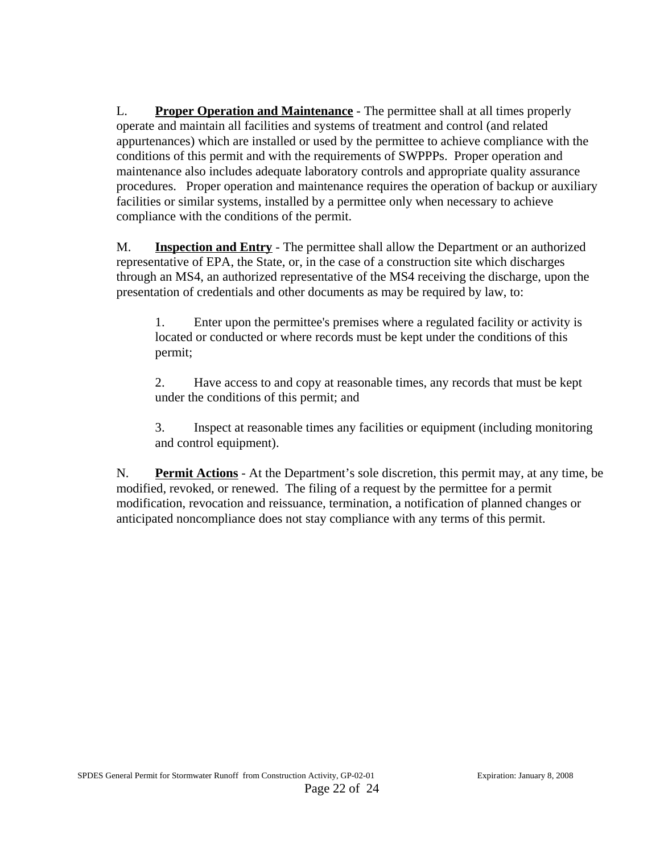L. **Proper Operation and Maintenance** - The permittee shall at all times properly operate and maintain all facilities and systems of treatment and control (and related appurtenances) which are installed or used by the permittee to achieve compliance with the conditions of this permit and with the requirements of SWPPPs. Proper operation and maintenance also includes adequate laboratory controls and appropriate quality assurance procedures. Proper operation and maintenance requires the operation of backup or auxiliary facilities or similar systems, installed by a permittee only when necessary to achieve compliance with the conditions of the permit.

M. **Inspection and Entry** - The permittee shall allow the Department or an authorized representative of EPA, the State, or, in the case of a construction site which discharges through an MS4, an authorized representative of the MS4 receiving the discharge, upon the presentation of credentials and other documents as may be required by law, to:

1. Enter upon the permittee's premises where a regulated facility or activity is located or conducted or where records must be kept under the conditions of this permit;

2. Have access to and copy at reasonable times, any records that must be kept under the conditions of this permit; and

3. Inspect at reasonable times any facilities or equipment (including monitoring and control equipment).

N. **Permit Actions** - At the Department's sole discretion, this permit may, at any time, be modified, revoked, or renewed. The filing of a request by the permittee for a permit modification, revocation and reissuance, termination, a notification of planned changes or anticipated noncompliance does not stay compliance with any terms of this permit.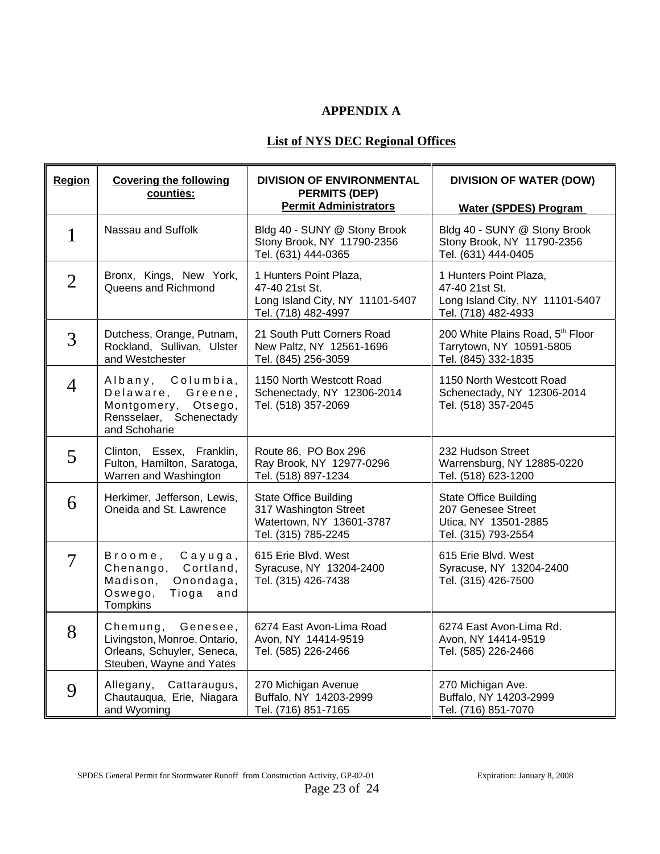# **APPENDIX A**

# **List of NYS DEC Regional Offices**

| Region         | <b>Covering the following</b><br>counties:                                                                                 | <b>DIVISION OF ENVIRONMENTAL</b><br><b>PERMITS (DEP)</b>                                                 | <b>DIVISION OF WATER (DOW)</b>                                                                     |
|----------------|----------------------------------------------------------------------------------------------------------------------------|----------------------------------------------------------------------------------------------------------|----------------------------------------------------------------------------------------------------|
|                |                                                                                                                            | <b>Permit Administrators</b>                                                                             | <b>Water (SPDES) Program</b>                                                                       |
| $\mathbf{1}$   | Nassau and Suffolk                                                                                                         | Bldg 40 - SUNY @ Stony Brook<br>Stony Brook, NY 11790-2356<br>Tel. (631) 444-0365                        | Bldg 40 - SUNY @ Stony Brook<br>Stony Brook, NY 11790-2356<br>Tel. (631) 444-0405                  |
| $\overline{2}$ | Bronx, Kings, New York,<br>Queens and Richmond                                                                             | 1 Hunters Point Plaza,<br>47-40 21st St.<br>Long Island City, NY 11101-5407<br>Tel. (718) 482-4997       | 1 Hunters Point Plaza,<br>47-40 21st St.<br>Long Island City, NY 11101-5407<br>Tel. (718) 482-4933 |
| 3              | Dutchess, Orange, Putnam,<br>Rockland, Sullivan, Ulster<br>and Westchester                                                 | 21 South Putt Corners Road<br>New Paltz, NY 12561-1696<br>Tel. (845) 256-3059                            | 200 White Plains Road, 5 <sup>th</sup> Floor<br>Tarrytown, NY 10591-5805<br>Tel. (845) 332-1835    |
| $\overline{4}$ | Albany, Columbia,<br>Delaware, Greene,<br>Montgomery, Otsego,<br>Rensselaer, Schenectady<br>and Schoharie                  | 1150 North Westcott Road<br>Schenectady, NY 12306-2014<br>Tel. (518) 357-2069                            | 1150 North Westcott Road<br>Schenectady, NY 12306-2014<br>Tel. (518) 357-2045                      |
| 5              | Clinton, Essex, Franklin,<br>Fulton, Hamilton, Saratoga,<br>Warren and Washington                                          | Route 86, PO Box 296<br>Ray Brook, NY 12977-0296<br>Tel. (518) 897-1234                                  | 232 Hudson Street<br>Warrensburg, NY 12885-0220<br>Tel. (518) 623-1200                             |
| 6              | Herkimer, Jefferson, Lewis,<br>Oneida and St. Lawrence                                                                     | <b>State Office Building</b><br>317 Washington Street<br>Watertown, NY 13601-3787<br>Tel. (315) 785-2245 | <b>State Office Building</b><br>207 Genesee Street<br>Utica, NY 13501-2885<br>Tel. (315) 793-2554  |
| 7              | $C$ a y u g a,<br>Broome,<br>Cortland,<br>Chenango,<br>Madison,<br>Onondaga,<br>Oswego,<br>Tioga<br>and<br><b>Tompkins</b> | 615 Erie Blvd. West<br>Syracuse, NY 13204-2400<br>Tel. (315) 426-7438                                    | 615 Erie Blvd. West<br>Syracuse, NY 13204-2400<br>Tel. (315) 426-7500                              |
| 8              | Genesee,<br>Chemung,<br>Livingston, Monroe, Ontario,<br>Orleans, Schuyler, Seneca,<br>Steuben, Wayne and Yates             | 6274 East Avon-Lima Road<br>Avon, NY 14414-9519<br>Tel. (585) 226-2466                                   | 6274 East Avon-Lima Rd.<br>Avon, NY 14414-9519<br>Tel. (585) 226-2466                              |
| 9              | Allegany,<br>Cattaraugus,<br>Chautauqua, Erie, Niagara<br>and Wyoming                                                      | 270 Michigan Avenue<br>Buffalo, NY 14203-2999<br>Tel. (716) 851-7165                                     | 270 Michigan Ave.<br>Buffalo, NY 14203-2999<br>Tel. (716) 851-7070                                 |